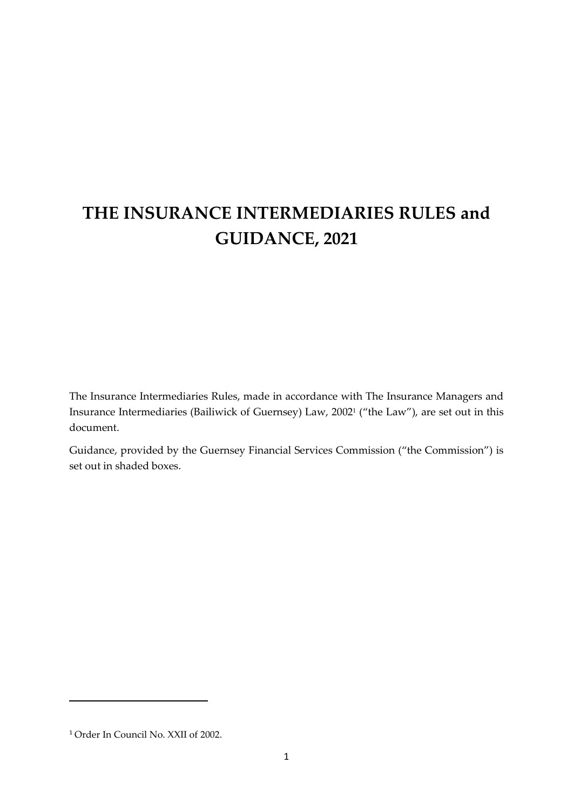# **THE INSURANCE INTERMEDIARIES RULES and GUIDANCE, 2021**

The Insurance Intermediaries Rules, made in accordance with The Insurance Managers and Insurance Intermediaries (Bailiwick of Guernsey) Law, 2002<sup>1</sup> ("the Law"), are set out in this document.

Guidance, provided by the Guernsey Financial Services Commission ("the Commission") is set out in shaded boxes.

<sup>1</sup> Order In Council No. XXII of 2002.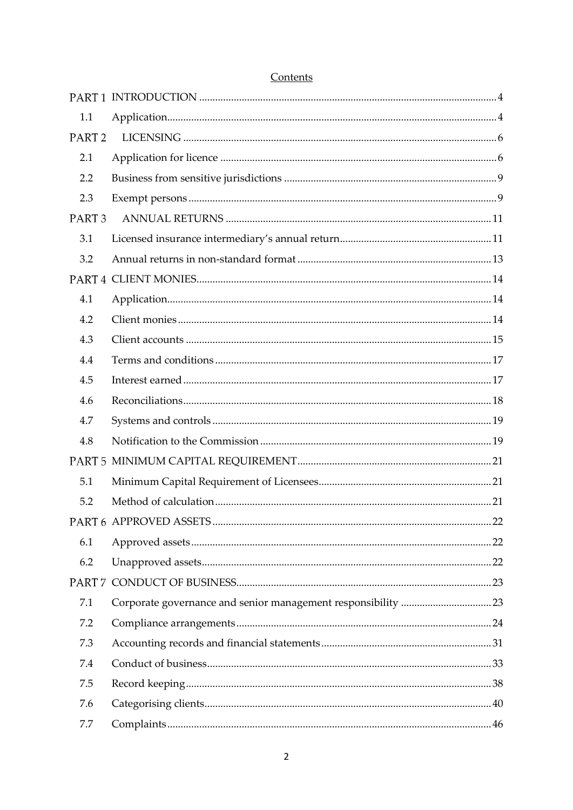| PART <sub>2</sub><br>PART <sub>3</sub> |  |
|----------------------------------------|--|

# Contents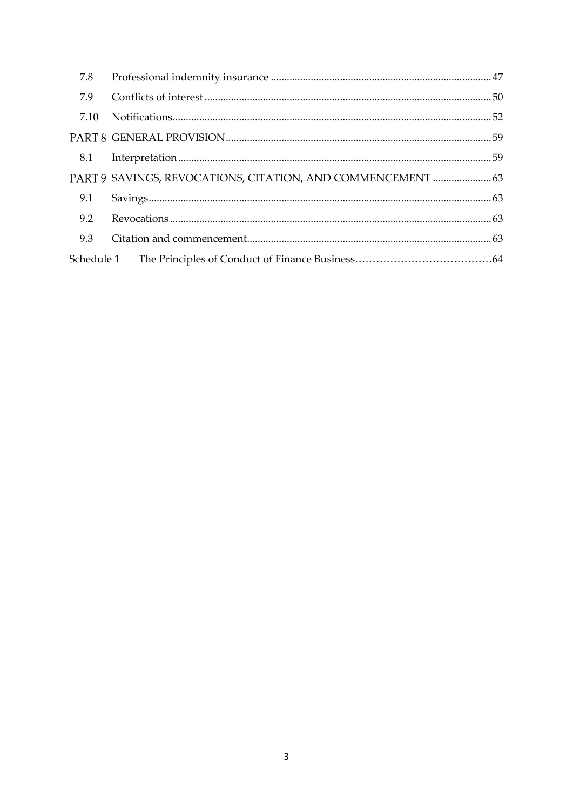| 7.8  |                                                             |  |
|------|-------------------------------------------------------------|--|
| 7.9  |                                                             |  |
| 7.10 |                                                             |  |
|      |                                                             |  |
|      |                                                             |  |
|      | PART 9 SAVINGS, REVOCATIONS, CITATION, AND COMMENCEMENT  63 |  |
| 9.1  |                                                             |  |
| 9.2  |                                                             |  |
| 9.3  |                                                             |  |
|      |                                                             |  |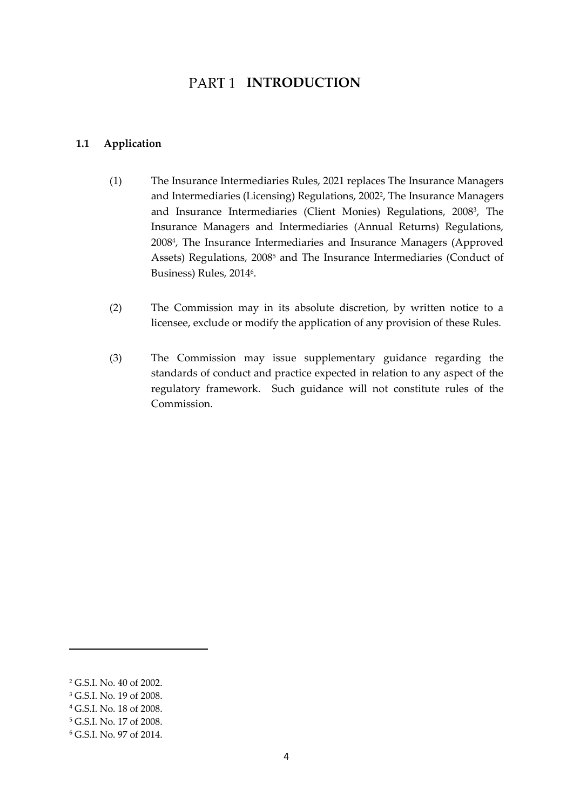# PART<sub>1</sub> INTRODUCTION

#### <span id="page-3-1"></span><span id="page-3-0"></span>**1.1 Application**

- (1) The Insurance Intermediaries Rules, 2021 replaces The Insurance Managers and Intermediaries (Licensing) Regulations, 2002<sup>2</sup> , The Insurance Managers and Insurance Intermediaries (Client Monies) Regulations, 2008<sup>3</sup> , The Insurance Managers and Intermediaries (Annual Returns) Regulations, 2008<sup>4</sup> , The Insurance Intermediaries and Insurance Managers (Approved Assets) Regulations, 2008<sup>5</sup> and The Insurance Intermediaries (Conduct of Business) Rules*,* 2014<sup>6</sup>.
- (2) The Commission may in its absolute discretion, by written notice to a licensee, exclude or modify the application of any provision of these Rules.
- (3) The Commission may issue supplementary guidance regarding the standards of conduct and practice expected in relation to any aspect of the regulatory framework. Such guidance will not constitute rules of the Commission.

<sup>2</sup> G.S.I. No. 40 of 2002.

<sup>&</sup>lt;sup>3</sup> G.S.I. No. 19 of 2008.

<sup>4</sup> G.S.I. No. 18 of 2008.

<sup>5</sup> G.S.I. No. 17 of 2008.

<sup>6</sup> G.S.I. No. 97 of 2014.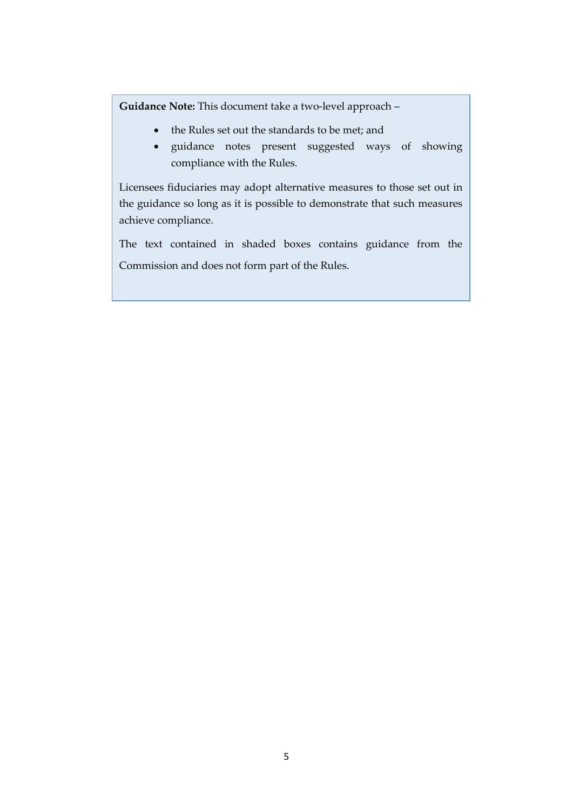**Guidance Note:** This document take a two-level approach –

- the Rules set out the standards to be met; and
- guidance notes present suggested ways of showing compliance with the Rules.

Licensees fiduciaries may adopt alternative measures to those set out in the guidance so long as it is possible to demonstrate that such measures achieve compliance.

The text contained in shaded boxes contains guidance from the Commission and does not form part of the Rules.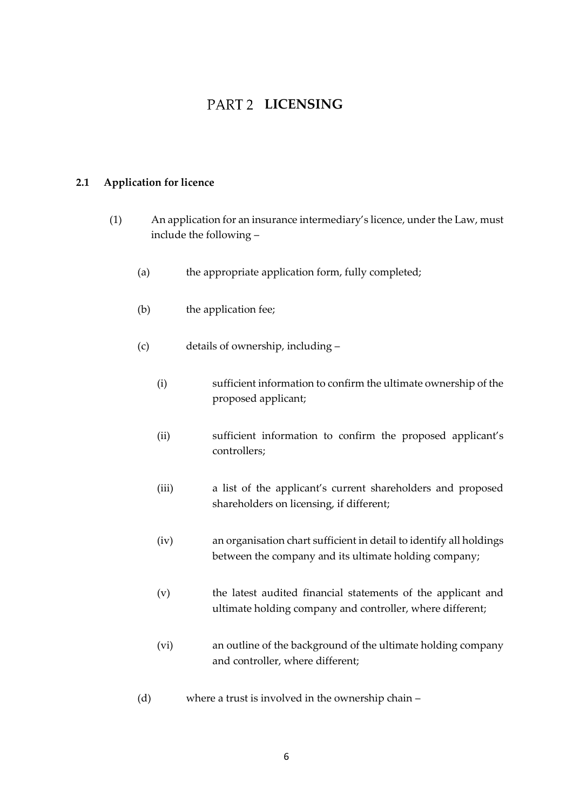# **PART 2 LICENSING**

# <span id="page-5-1"></span><span id="page-5-0"></span>**2.1 Application for licence**

- (1) An application for an insurance intermediary's licence, under the Law, must include the following –
	- (a) the appropriate application form, fully completed;
	- (b) the application fee;
	- (c) details of ownership, including
		- (i) sufficient information to confirm the ultimate ownership of the proposed applicant;
		- (ii) sufficient information to confirm the proposed applicant's controllers;
		- (iii) a list of the applicant's current shareholders and proposed shareholders on licensing, if different;
		- (iv) an organisation chart sufficient in detail to identify all holdings between the company and its ultimate holding company;
		- (v) the latest audited financial statements of the applicant and ultimate holding company and controller, where different;
		- (vi) an outline of the background of the ultimate holding company and controller, where different;
	- (d) where a trust is involved in the ownership chain –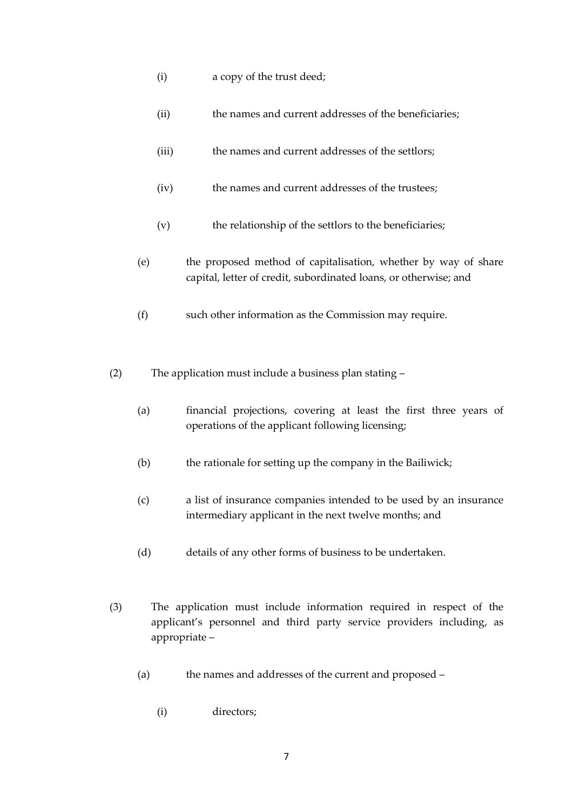- (i) a copy of the trust deed;
- (ii) the names and current addresses of the beneficiaries;
- (iii) the names and current addresses of the settlors;
- (iv) the names and current addresses of the trustees;
- (v) the relationship of the settlors to the beneficiaries;
- (e) the proposed method of capitalisation, whether by way of share capital, letter of credit, subordinated loans, or otherwise; and
- (f) such other information as the Commission may require.
- (2) The application must include a business plan stating
	- (a) financial projections, covering at least the first three years of operations of the applicant following licensing;
	- (b) the rationale for setting up the company in the Bailiwick;
	- (c) a list of insurance companies intended to be used by an insurance intermediary applicant in the next twelve months; and
	- (d) details of any other forms of business to be undertaken.
- (3) The application must include information required in respect of the applicant's personnel and third party service providers including, as appropriate –
	- (a) the names and addresses of the current and proposed
		- (i) directors;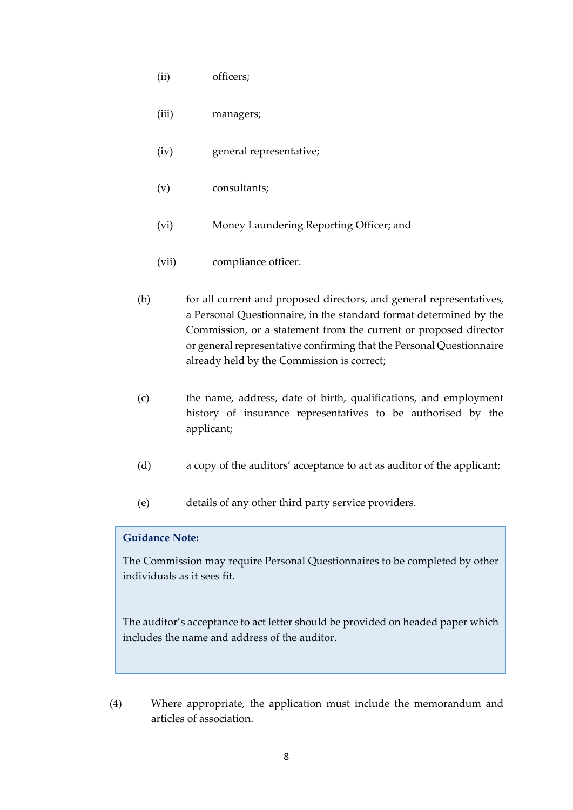- (ii) officers;
- (iii) managers;
- (iv) general representative;
- (v) consultants;
- (vi) Money Laundering Reporting Officer; and
- (vii) compliance officer.
- (b) for all current and proposed directors, and general representatives, a Personal Questionnaire, in the standard format determined by the Commission, or a statement from the current or proposed director or general representative confirming that the Personal Questionnaire already held by the Commission is correct;
- (c) the name, address, date of birth, qualifications, and employment history of insurance representatives to be authorised by the applicant;
- (d) a copy of the auditors' acceptance to act as auditor of the applicant;
- (e) details of any other third party service providers.

The Commission may require Personal Questionnaires to be completed by other individuals as it sees fit.

The auditor's acceptance to act letter should be provided on headed paper which includes the name and address of the auditor.

(4) Where appropriate, the application must include the memorandum and articles of association.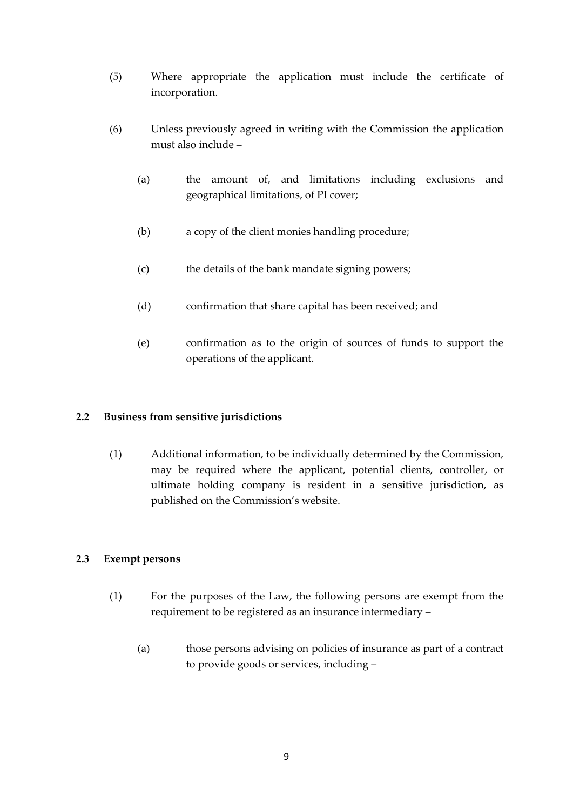- (5) Where appropriate the application must include the certificate of incorporation.
- (6) Unless previously agreed in writing with the Commission the application must also include –
	- (a) the amount of, and limitations including exclusions and geographical limitations, of PI cover;
	- (b) a copy of the client monies handling procedure;
	- (c) the details of the bank mandate signing powers;
	- (d) confirmation that share capital has been received; and
	- (e) confirmation as to the origin of sources of funds to support the operations of the applicant.

# <span id="page-8-0"></span>**2.2 Business from sensitive jurisdictions**

(1) Additional information, to be individually determined by the Commission, may be required where the applicant, potential clients, controller, or ultimate holding company is resident in a sensitive jurisdiction, as published on the Commission's website.

#### <span id="page-8-1"></span>**2.3 Exempt persons**

- (1) For the purposes of the Law, the following persons are exempt from the requirement to be registered as an insurance intermediary –
	- (a) those persons advising on policies of insurance as part of a contract to provide goods or services, including –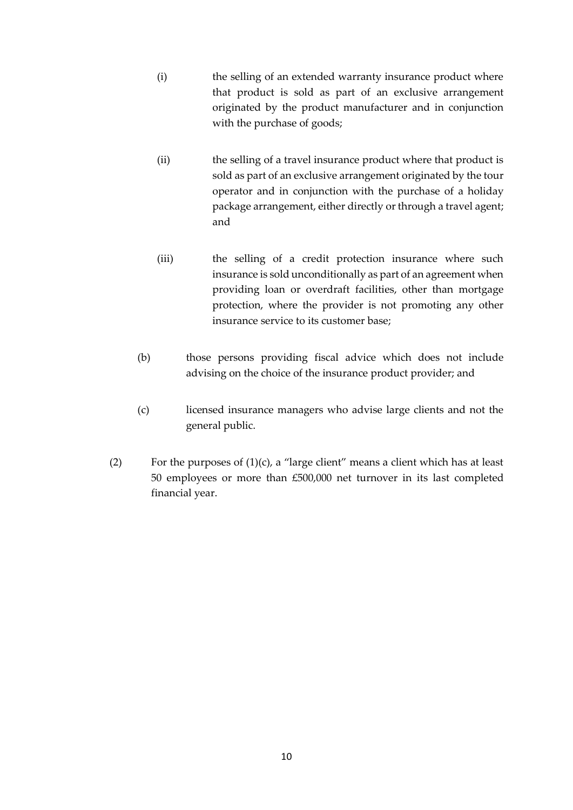- (i) the selling of an extended warranty insurance product where that product is sold as part of an exclusive arrangement originated by the product manufacturer and in conjunction with the purchase of goods;
- (ii) the selling of a travel insurance product where that product is sold as part of an exclusive arrangement originated by the tour operator and in conjunction with the purchase of a holiday package arrangement, either directly or through a travel agent; and
- (iii) the selling of a credit protection insurance where such insurance is sold unconditionally as part of an agreement when providing loan or overdraft facilities, other than mortgage protection, where the provider is not promoting any other insurance service to its customer base;
- (b) those persons providing fiscal advice which does not include advising on the choice of the insurance product provider; and
- (c) licensed insurance managers who advise large clients and not the general public.
- (2) For the purposes of  $(1)(c)$ , a "large client" means a client which has at least 50 employees or more than £500,000 net turnover in its last completed financial year.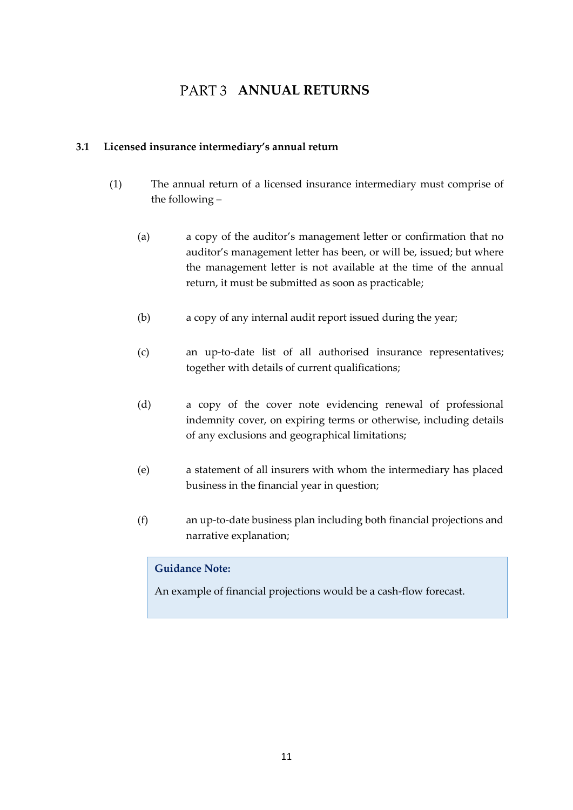# **PART 3 ANNUAL RETURNS**

### <span id="page-10-1"></span><span id="page-10-0"></span>**3.1 Licensed insurance intermediary's annual return**

- (1) The annual return of a licensed insurance intermediary must comprise of the following –
	- (a) a copy of the auditor's management letter or confirmation that no auditor's management letter has been, or will be, issued; but where the management letter is not available at the time of the annual return, it must be submitted as soon as practicable;
	- (b) a copy of any internal audit report issued during the year;
	- (c) an up-to-date list of all authorised insurance representatives; together with details of current qualifications;
	- (d) a copy of the cover note evidencing renewal of professional indemnity cover, on expiring terms or otherwise, including details of any exclusions and geographical limitations;
	- (e) a statement of all insurers with whom the intermediary has placed business in the financial year in question;
	- (f) an up-to-date business plan including both financial projections and narrative explanation;

#### **Guidance Note:**

An example of financial projections would be a cash-flow forecast.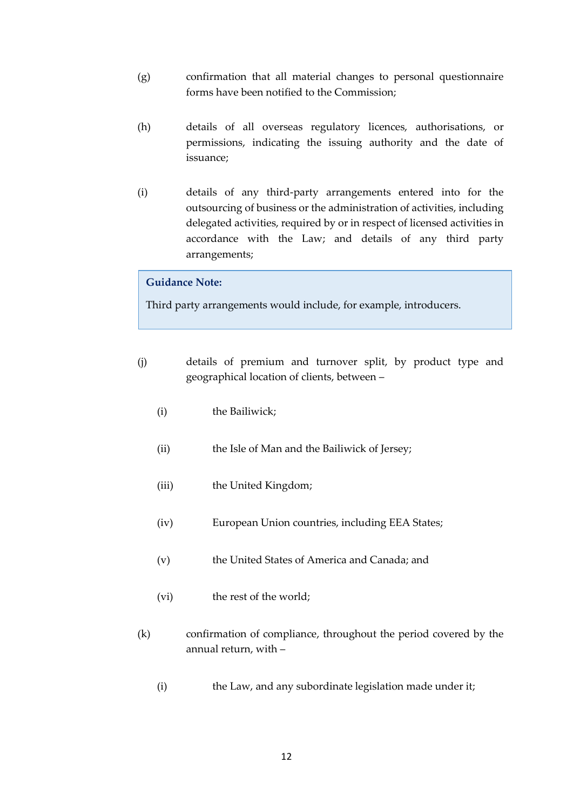- (g) confirmation that all material changes to personal questionnaire forms have been notified to the Commission;
- (h) details of all overseas regulatory licences, authorisations, or permissions, indicating the issuing authority and the date of issuance;
- (i) details of any third-party arrangements entered into for the outsourcing of business or the administration of activities, including delegated activities, required by or in respect of licensed activities in accordance with the Law; and details of any third party arrangements;

Third party arrangements would include, for example, introducers.

- (j) details of premium and turnover split, by product type and geographical location of clients, between –
	- (i) the Bailiwick;
	- (ii) the Isle of Man and the Bailiwick of Jersey;
	- (iii) the United Kingdom;
	- (iv) European Union countries, including EEA States;
	- (v) the United States of America and Canada; and
	- (vi) the rest of the world;
- (k) confirmation of compliance, throughout the period covered by the annual return, with –
	- (i) the Law, and any subordinate legislation made under it;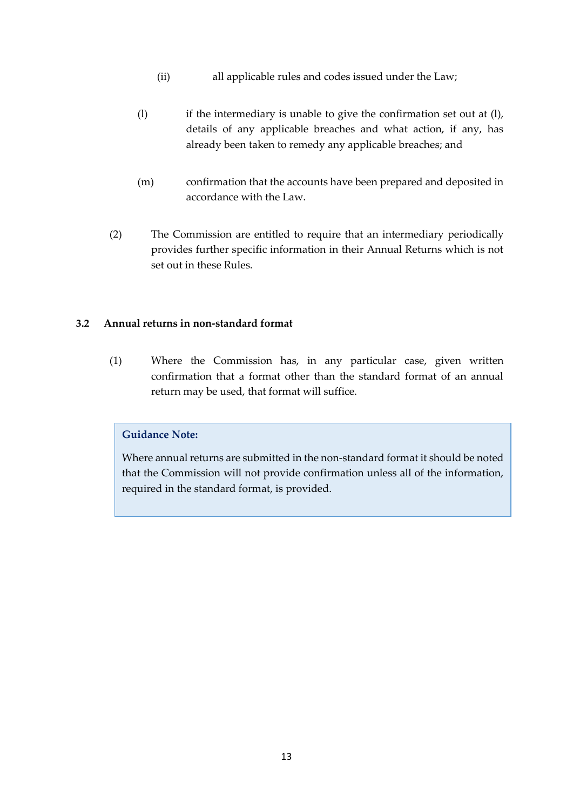- (ii) all applicable rules and codes issued under the Law;
- (l) if the intermediary is unable to give the confirmation set out at (l), details of any applicable breaches and what action, if any, has already been taken to remedy any applicable breaches; and
- (m) confirmation that the accounts have been prepared and deposited in accordance with the Law.
- (2) The Commission are entitled to require that an intermediary periodically provides further specific information in their Annual Returns which is not set out in these Rules.

#### <span id="page-12-0"></span>**3.2 Annual returns in non-standard format**

(1) Where the Commission has, in any particular case, given written confirmation that a format other than the standard format of an annual return may be used, that format will suffice.

### **Guidance Note:**

Where annual returns are submitted in the non-standard format it should be noted that the Commission will not provide confirmation unless all of the information, required in the standard format, is provided.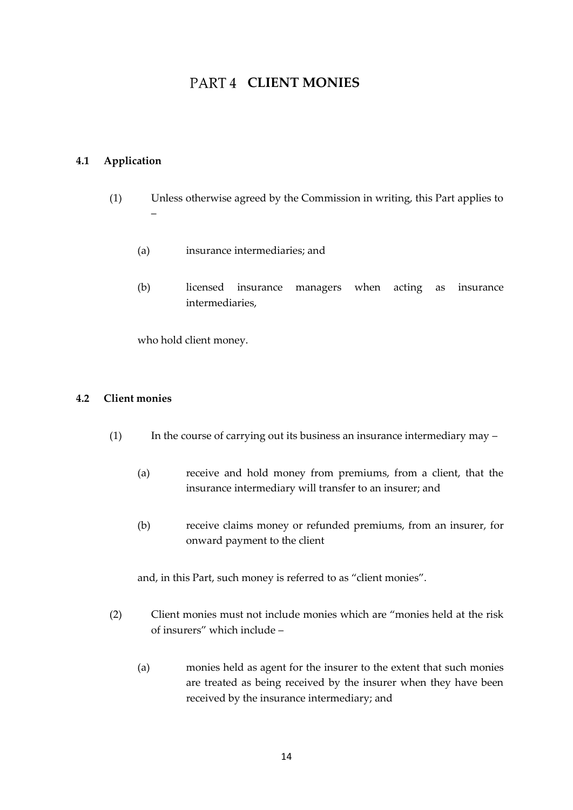# **PART4 CLIENT MONIES**

#### <span id="page-13-1"></span><span id="page-13-0"></span>**4.1 Application**

- (1) Unless otherwise agreed by the Commission in writing, this Part applies to –
	- (a) insurance intermediaries; and
	- (b) licensed insurance managers when acting as insurance intermediaries,

who hold client money.

#### <span id="page-13-2"></span>**4.2 Client monies**

- (1) In the course of carrying out its business an insurance intermediary may
	- (a) receive and hold money from premiums, from a client, that the insurance intermediary will transfer to an insurer; and
	- (b) receive claims money or refunded premiums, from an insurer, for onward payment to the client

and, in this Part, such money is referred to as "client monies".

- (2) Client monies must not include monies which are "monies held at the risk of insurers" which include –
	- (a) monies held as agent for the insurer to the extent that such monies are treated as being received by the insurer when they have been received by the insurance intermediary; and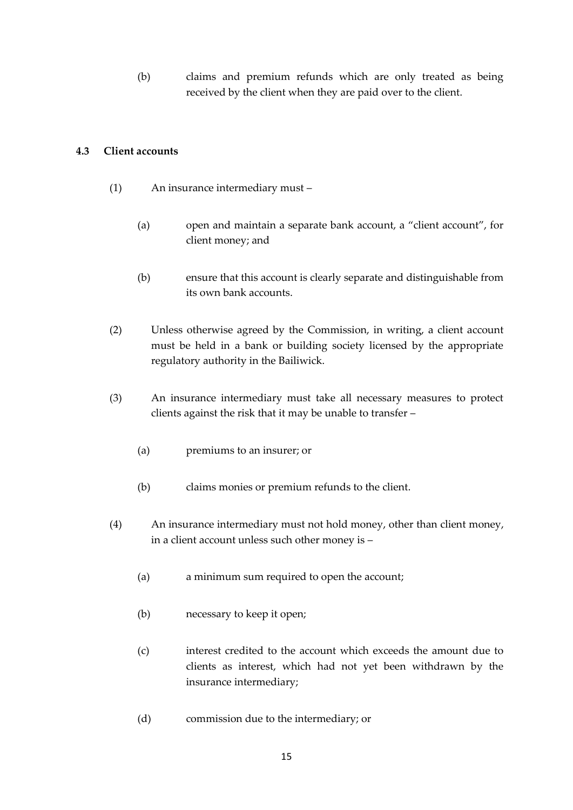(b) claims and premium refunds which are only treated as being received by the client when they are paid over to the client.

#### <span id="page-14-0"></span>**4.3 Client accounts**

- (1) An insurance intermediary must
	- (a) open and maintain a separate bank account, a "client account", for client money; and
	- (b) ensure that this account is clearly separate and distinguishable from its own bank accounts.
- (2) Unless otherwise agreed by the Commission, in writing, a client account must be held in a bank or building society licensed by the appropriate regulatory authority in the Bailiwick.
- (3) An insurance intermediary must take all necessary measures to protect clients against the risk that it may be unable to transfer –
	- (a) premiums to an insurer; or
	- (b) claims monies or premium refunds to the client.
- (4) An insurance intermediary must not hold money, other than client money, in a client account unless such other money is –
	- (a) a minimum sum required to open the account;
	- (b) necessary to keep it open;
	- (c) interest credited to the account which exceeds the amount due to clients as interest, which had not yet been withdrawn by the insurance intermediary;
	- (d) commission due to the intermediary; or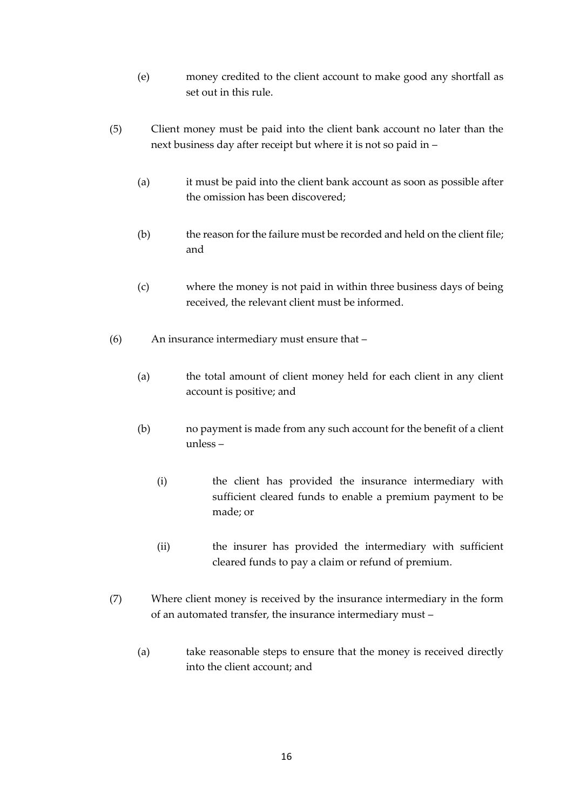- (e) money credited to the client account to make good any shortfall as set out in this rule.
- (5) Client money must be paid into the client bank account no later than the next business day after receipt but where it is not so paid in –
	- (a) it must be paid into the client bank account as soon as possible after the omission has been discovered;
	- (b) the reason for the failure must be recorded and held on the client file; and
	- (c) where the money is not paid in within three business days of being received, the relevant client must be informed.
- (6) An insurance intermediary must ensure that
	- (a) the total amount of client money held for each client in any client account is positive; and
	- (b) no payment is made from any such account for the benefit of a client unless –
		- (i) the client has provided the insurance intermediary with sufficient cleared funds to enable a premium payment to be made; or
		- (ii) the insurer has provided the intermediary with sufficient cleared funds to pay a claim or refund of premium.
- (7) Where client money is received by the insurance intermediary in the form of an automated transfer, the insurance intermediary must –
	- (a) take reasonable steps to ensure that the money is received directly into the client account; and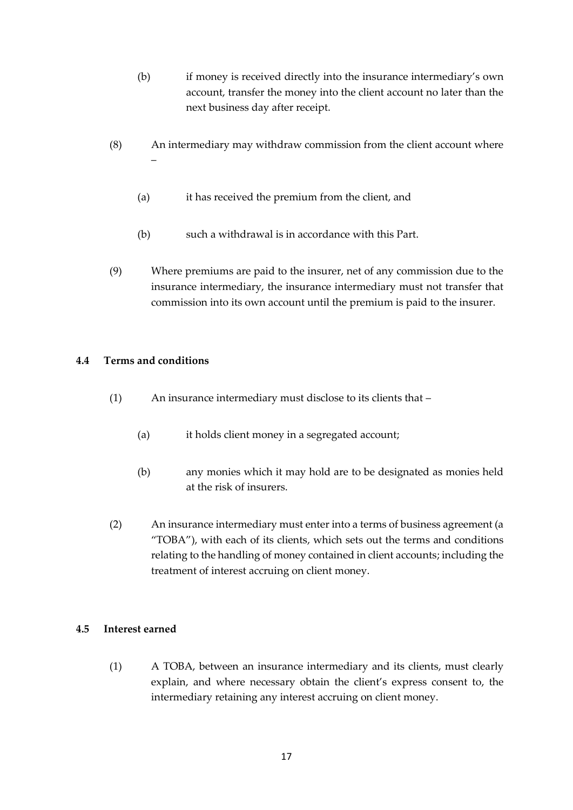- (b) if money is received directly into the insurance intermediary's own account, transfer the money into the client account no later than the next business day after receipt.
- (8) An intermediary may withdraw commission from the client account where –
	- (a) it has received the premium from the client, and
	- (b) such a withdrawal is in accordance with this Part.
- (9) Where premiums are paid to the insurer, net of any commission due to the insurance intermediary, the insurance intermediary must not transfer that commission into its own account until the premium is paid to the insurer.

#### <span id="page-16-0"></span>**4.4 Terms and conditions**

- (1) An insurance intermediary must disclose to its clients that
	- (a) it holds client money in a segregated account;
	- (b) any monies which it may hold are to be designated as monies held at the risk of insurers.
- (2) An insurance intermediary must enter into a terms of business agreement (a "TOBA"), with each of its clients, which sets out the terms and conditions relating to the handling of money contained in client accounts; including the treatment of interest accruing on client money.

#### <span id="page-16-1"></span>**4.5 Interest earned**

(1) A TOBA, between an insurance intermediary and its clients, must clearly explain, and where necessary obtain the client's express consent to, the intermediary retaining any interest accruing on client money.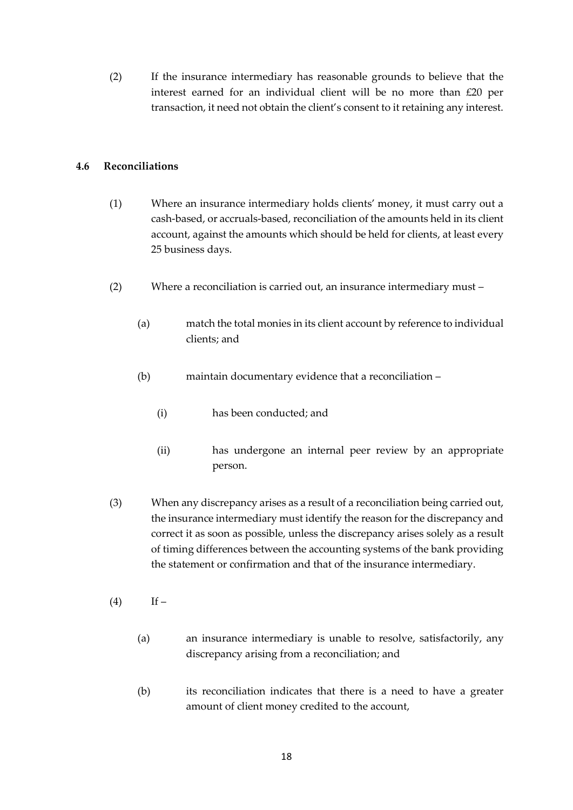(2) If the insurance intermediary has reasonable grounds to believe that the interest earned for an individual client will be no more than £20 per transaction, it need not obtain the client's consent to it retaining any interest.

# <span id="page-17-0"></span>**4.6 Reconciliations**

- (1) Where an insurance intermediary holds clients' money, it must carry out a cash-based, or accruals-based, reconciliation of the amounts held in its client account, against the amounts which should be held for clients, at least every 25 business days.
- (2) Where a reconciliation is carried out, an insurance intermediary must
	- (a) match the total monies in its client account by reference to individual clients; and
	- (b) maintain documentary evidence that a reconciliation
		- (i) has been conducted; and
		- (ii) has undergone an internal peer review by an appropriate person.
- (3) When any discrepancy arises as a result of a reconciliation being carried out, the insurance intermediary must identify the reason for the discrepancy and correct it as soon as possible, unless the discrepancy arises solely as a result of timing differences between the accounting systems of the bank providing the statement or confirmation and that of the insurance intermediary.
- $(4)$  If
	- (a) an insurance intermediary is unable to resolve, satisfactorily, any discrepancy arising from a reconciliation; and
	- (b) its reconciliation indicates that there is a need to have a greater amount of client money credited to the account,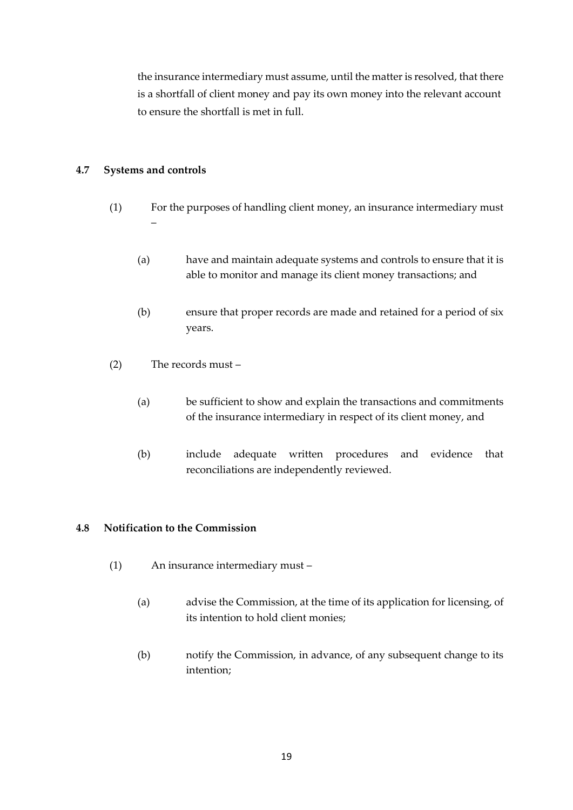the insurance intermediary must assume, until the matter is resolved, that there is a shortfall of client money and pay its own money into the relevant account to ensure the shortfall is met in full.

# <span id="page-18-0"></span>**4.7 Systems and controls**

- (1) For the purposes of handling client money, an insurance intermediary must –
	- (a) have and maintain adequate systems and controls to ensure that it is able to monitor and manage its client money transactions; and
	- (b) ensure that proper records are made and retained for a period of six years.
- (2) The records must
	- (a) be sufficient to show and explain the transactions and commitments of the insurance intermediary in respect of its client money, and
	- (b) include adequate written procedures and evidence that reconciliations are independently reviewed.

#### <span id="page-18-1"></span>**4.8 Notification to the Commission**

- (1) An insurance intermediary must
	- (a) advise the Commission, at the time of its application for licensing, of its intention to hold client monies;
	- (b) notify the Commission, in advance, of any subsequent change to its intention;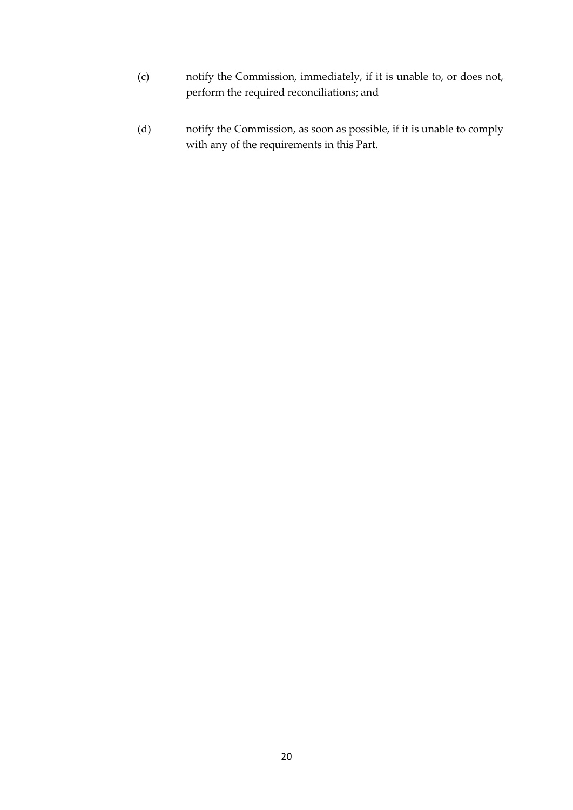- (c) notify the Commission, immediately, if it is unable to, or does not, perform the required reconciliations; and
- (d) notify the Commission, as soon as possible, if it is unable to comply with any of the requirements in this Part.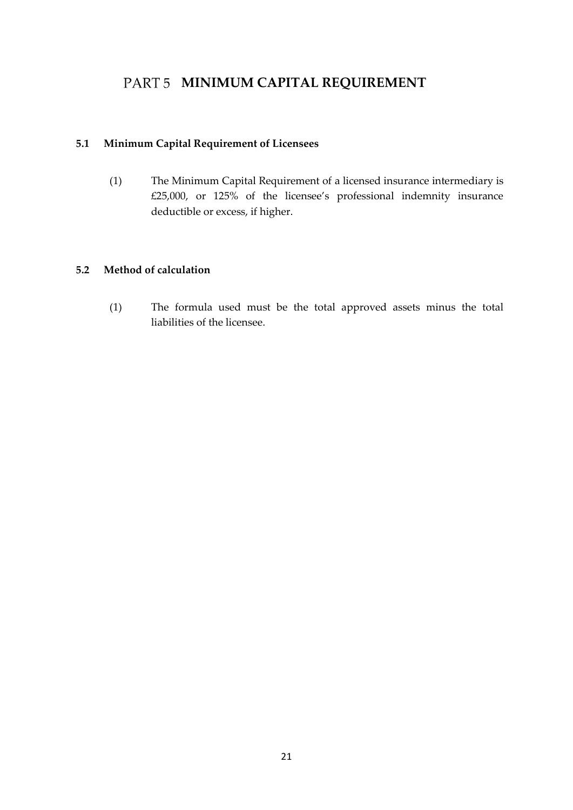# <span id="page-20-0"></span>PART 5 **MINIMUM CAPITAL REQUIREMENT**

# <span id="page-20-1"></span>**5.1 Minimum Capital Requirement of Licensees**

(1) The Minimum Capital Requirement of a licensed insurance intermediary is £25,000, or 125% of the licensee's professional indemnity insurance deductible or excess, if higher.

# <span id="page-20-2"></span>**5.2 Method of calculation**

(1) The formula used must be the total approved assets minus the total liabilities of the licensee.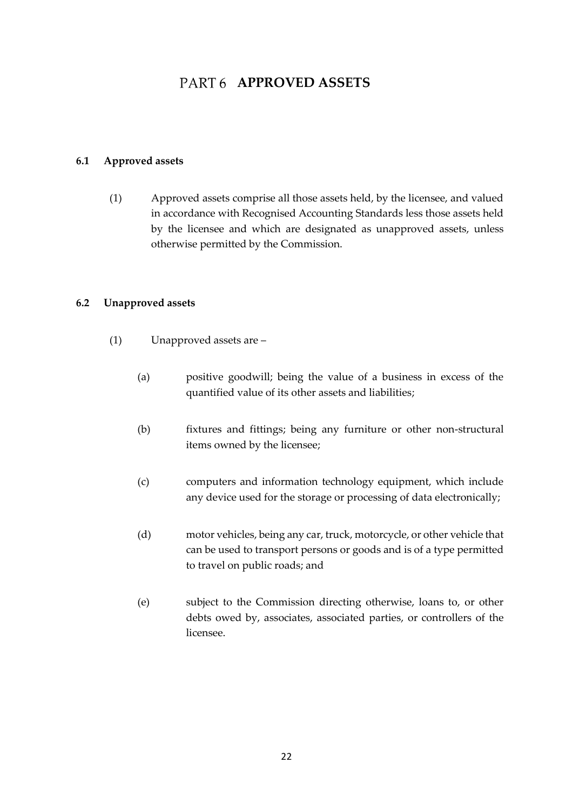# PART 6 **APPROVED ASSETS**

### <span id="page-21-1"></span><span id="page-21-0"></span>**6.1 Approved assets**

(1) Approved assets comprise all those assets held, by the licensee, and valued in accordance with Recognised Accounting Standards less those assets held by the licensee and which are designated as unapproved assets, unless otherwise permitted by the Commission.

#### <span id="page-21-2"></span>**6.2 Unapproved assets**

- (1) Unapproved assets are
	- (a) positive goodwill; being the value of a business in excess of the quantified value of its other assets and liabilities;
	- (b) fixtures and fittings; being any furniture or other non-structural items owned by the licensee;
	- (c) computers and information technology equipment, which include any device used for the storage or processing of data electronically;
	- (d) motor vehicles, being any car, truck, motorcycle, or other vehicle that can be used to transport persons or goods and is of a type permitted to travel on public roads; and
	- (e) subject to the Commission directing otherwise, loans to, or other debts owed by, associates, associated parties, or controllers of the licensee.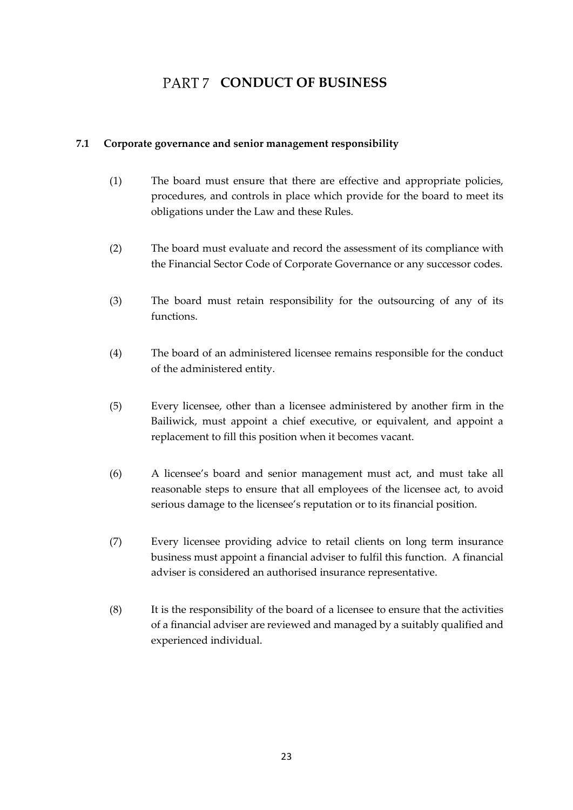# PART 7 CONDUCT OF BUSINESS

### <span id="page-22-1"></span><span id="page-22-0"></span>**7.1 Corporate governance and senior management responsibility**

- (1) The board must ensure that there are effective and appropriate policies, procedures, and controls in place which provide for the board to meet its obligations under the Law and these Rules.
- (2) The board must evaluate and record the assessment of its compliance with the Financial Sector Code of Corporate Governance or any successor codes.
- (3) The board must retain responsibility for the outsourcing of any of its functions.
- (4) The board of an administered licensee remains responsible for the conduct of the administered entity.
- (5) Every licensee, other than a licensee administered by another firm in the Bailiwick, must appoint a chief executive, or equivalent, and appoint a replacement to fill this position when it becomes vacant.
- (6) A licensee's board and senior management must act, and must take all reasonable steps to ensure that all employees of the licensee act, to avoid serious damage to the licensee's reputation or to its financial position.
- (7) Every licensee providing advice to retail clients on long term insurance business must appoint a financial adviser to fulfil this function. A financial adviser is considered an authorised insurance representative.
- (8) It is the responsibility of the board of a licensee to ensure that the activities of a financial adviser are reviewed and managed by a suitably qualified and experienced individual.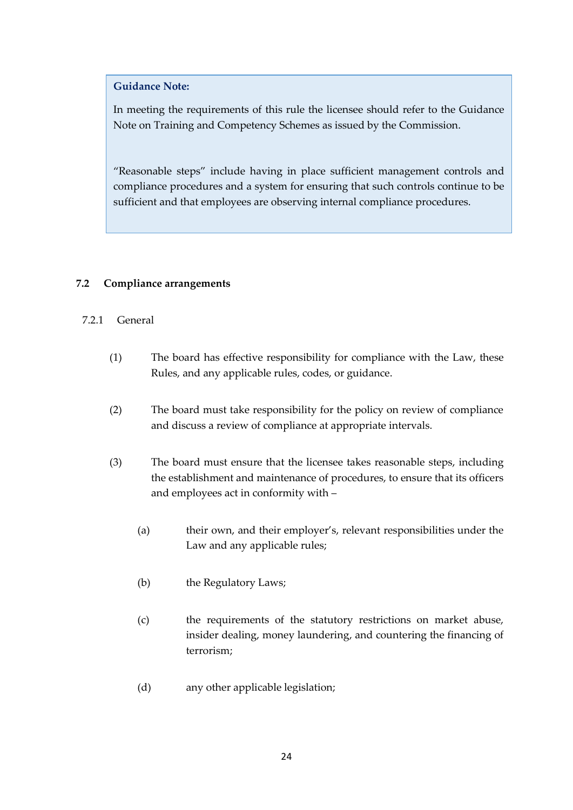In meeting the requirements of this rule the licensee should refer to the Guidance Note on Training and Competency Schemes as issued by the Commission.

"Reasonable steps" include having in place sufficient management controls and compliance procedures and a system for ensuring that such controls continue to be sufficient and that employees are observing internal compliance procedures.

# <span id="page-23-0"></span>**7.2 Compliance arrangements**

# 7.2.1 General

- (1) The board has effective responsibility for compliance with the Law, these Rules, and any applicable rules, codes, or guidance.
- (2) The board must take responsibility for the policy on review of compliance and discuss a review of compliance at appropriate intervals.
- (3) The board must ensure that the licensee takes reasonable steps, including the establishment and maintenance of procedures, to ensure that its officers and employees act in conformity with –
	- (a) their own, and their employer's, relevant responsibilities under the Law and any applicable rules;
	- (b) the Regulatory Laws;
	- (c) the requirements of the statutory restrictions on market abuse, insider dealing, money laundering, and countering the financing of terrorism;
	- (d) any other applicable legislation;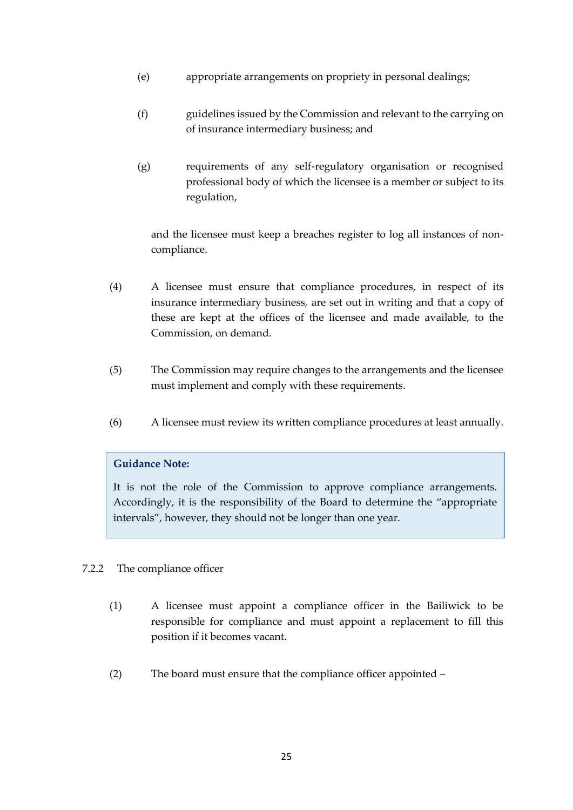- (e) appropriate arrangements on propriety in personal dealings;
- (f) guidelines issued by the Commission and relevant to the carrying on of insurance intermediary business; and
- (g) requirements of any self-regulatory organisation or recognised professional body of which the licensee is a member or subject to its regulation,

and the licensee must keep a breaches register to log all instances of noncompliance.

- (4) A licensee must ensure that compliance procedures, in respect of its insurance intermediary business, are set out in writing and that a copy of these are kept at the offices of the licensee and made available, to the Commission, on demand.
- (5) The Commission may require changes to the arrangements and the licensee must implement and comply with these requirements.
- (6) A licensee must review its written compliance procedures at least annually.

#### **Guidance Note:**

It is not the role of the Commission to approve compliance arrangements. Accordingly, it is the responsibility of the Board to determine the "appropriate intervals", however, they should not be longer than one year.

# 7.2.2 The compliance officer

- (1) A licensee must appoint a compliance officer in the Bailiwick to be responsible for compliance and must appoint a replacement to fill this position if it becomes vacant.
- (2) The board must ensure that the compliance officer appointed –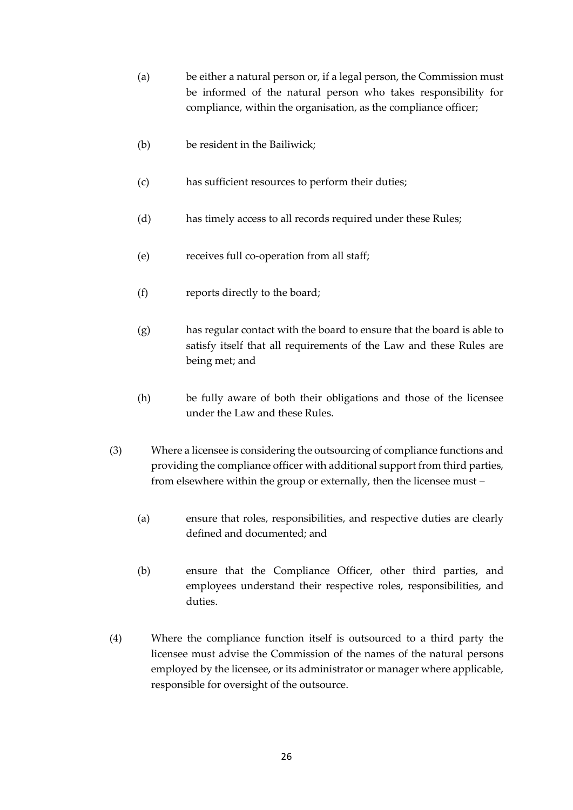- (a) be either a natural person or, if a legal person, the Commission must be informed of the natural person who takes responsibility for compliance, within the organisation, as the compliance officer;
- (b) be resident in the Bailiwick;
- (c) has sufficient resources to perform their duties;
- (d) has timely access to all records required under these Rules;
- (e) receives full co-operation from all staff;
- (f) reports directly to the board;
- (g) has regular contact with the board to ensure that the board is able to satisfy itself that all requirements of the Law and these Rules are being met; and
- (h) be fully aware of both their obligations and those of the licensee under the Law and these Rules.
- (3) Where a licensee is considering the outsourcing of compliance functions and providing the compliance officer with additional support from third parties, from elsewhere within the group or externally, then the licensee must –
	- (a) ensure that roles, responsibilities, and respective duties are clearly defined and documented; and
	- (b) ensure that the Compliance Officer, other third parties, and employees understand their respective roles, responsibilities, and duties.
- (4) Where the compliance function itself is outsourced to a third party the licensee must advise the Commission of the names of the natural persons employed by the licensee, or its administrator or manager where applicable, responsible for oversight of the outsource.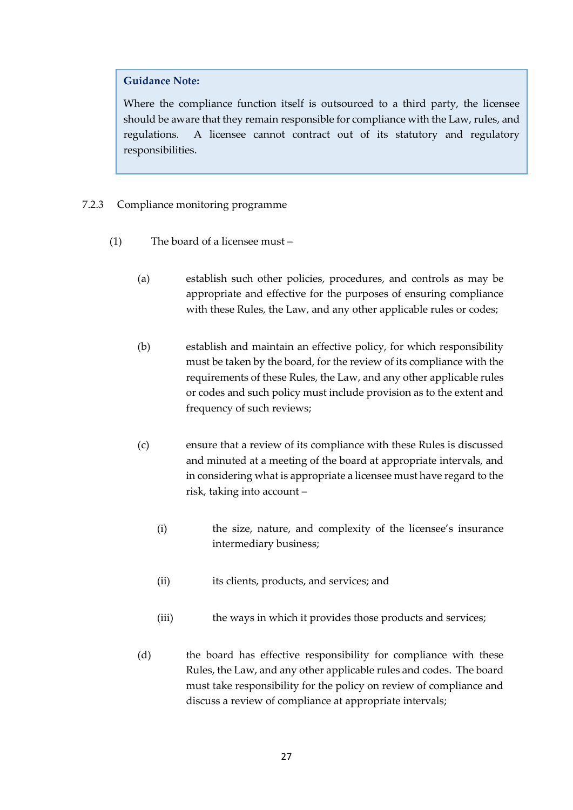Where the compliance function itself is outsourced to a third party, the licensee should be aware that they remain responsible for compliance with the Law, rules, and regulations. A licensee cannot contract out of its statutory and regulatory responsibilities.

- 7.2.3 Compliance monitoring programme
	- (1) The board of a licensee must
		- (a) establish such other policies, procedures, and controls as may be appropriate and effective for the purposes of ensuring compliance with these Rules, the Law, and any other applicable rules or codes;
		- (b) establish and maintain an effective policy, for which responsibility must be taken by the board, for the review of its compliance with the requirements of these Rules, the Law, and any other applicable rules or codes and such policy must include provision as to the extent and frequency of such reviews;
		- (c) ensure that a review of its compliance with these Rules is discussed and minuted at a meeting of the board at appropriate intervals, and in considering what is appropriate a licensee must have regard to the risk, taking into account –
			- (i) the size, nature, and complexity of the licensee's insurance intermediary business;
			- (ii) its clients, products, and services; and
			- (iii) the ways in which it provides those products and services;
		- (d) the board has effective responsibility for compliance with these Rules, the Law, and any other applicable rules and codes. The board must take responsibility for the policy on review of compliance and discuss a review of compliance at appropriate intervals;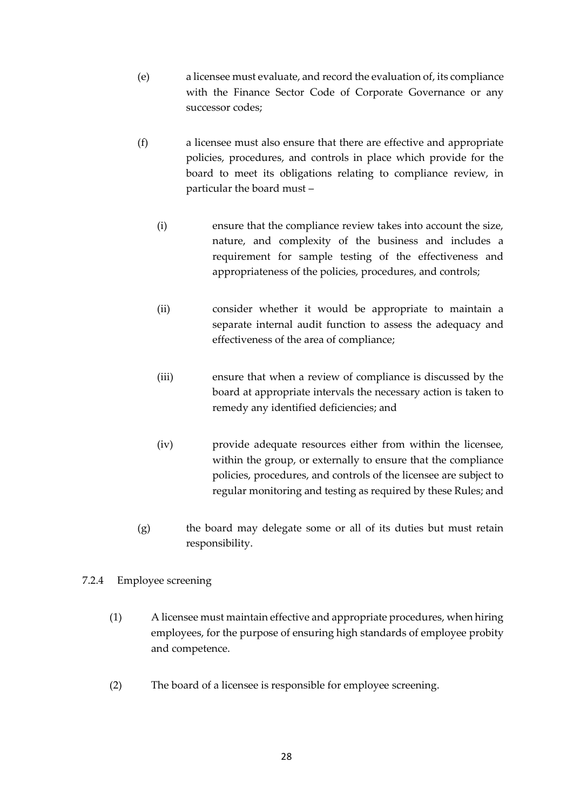- (e) a licensee must evaluate, and record the evaluation of, its compliance with the Finance Sector Code of Corporate Governance or any successor codes;
- (f) a licensee must also ensure that there are effective and appropriate policies, procedures, and controls in place which provide for the board to meet its obligations relating to compliance review, in particular the board must –
	- (i) ensure that the compliance review takes into account the size, nature, and complexity of the business and includes a requirement for sample testing of the effectiveness and appropriateness of the policies, procedures, and controls;
	- (ii) consider whether it would be appropriate to maintain a separate internal audit function to assess the adequacy and effectiveness of the area of compliance;
	- (iii) ensure that when a review of compliance is discussed by the board at appropriate intervals the necessary action is taken to remedy any identified deficiencies; and
	- (iv) provide adequate resources either from within the licensee, within the group, or externally to ensure that the compliance policies, procedures, and controls of the licensee are subject to regular monitoring and testing as required by these Rules; and
- (g) the board may delegate some or all of its duties but must retain responsibility.

# 7.2.4 Employee screening

- (1) A licensee must maintain effective and appropriate procedures, when hiring employees, for the purpose of ensuring high standards of employee probity and competence.
- (2) The board of a licensee is responsible for employee screening.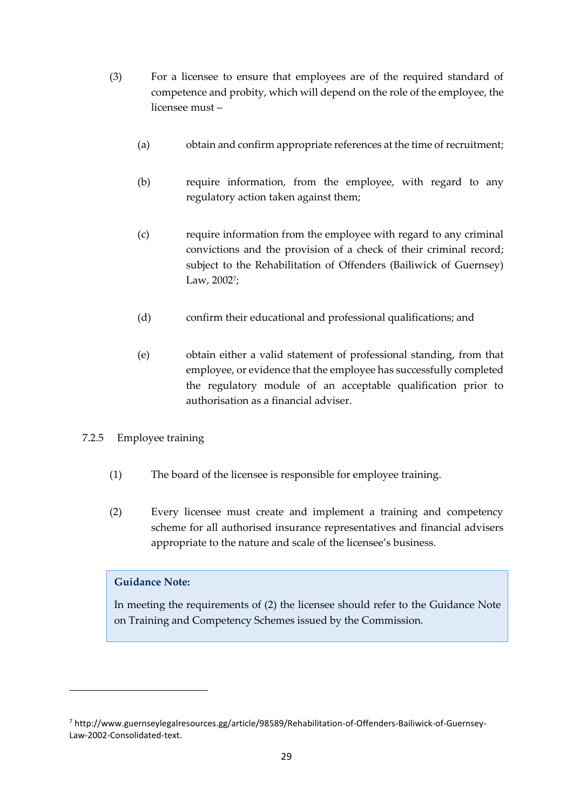- (3) For a licensee to ensure that employees are of the required standard of competence and probity, which will depend on the role of the employee, the licensee must –
	- (a) obtain and confirm appropriate references at the time of recruitment;
	- (b) require information, from the employee, with regard to any regulatory action taken against them;
	- (c) require information from the employee with regard to any criminal convictions and the provision of a check of their criminal record; subject to the Rehabilitation of Offenders (Bailiwick of Guernsey) Law, 2002<sup>7</sup>;
	- (d) confirm their educational and professional qualifications; and
	- (e) obtain either a valid statement of professional standing, from that employee, or evidence that the employee has successfully completed the regulatory module of an acceptable qualification prior to authorisation as a financial adviser.
- 7.2.5 Employee training
	- (1) The board of the licensee is responsible for employee training.
	- (2) Every licensee must create and implement a training and competency scheme for all authorised insurance representatives and financial advisers appropriate to the nature and scale of the licensee's business.

In meeting the requirements of (2) the licensee should refer to the Guidance Note on Training and Competency Schemes issued by the Commission.

<sup>7</sup> http://www.guernseylegalresources.gg/article/98589/Rehabilitation-of-Offenders-Bailiwick-of-Guernsey-Law-2002-Consolidated-text.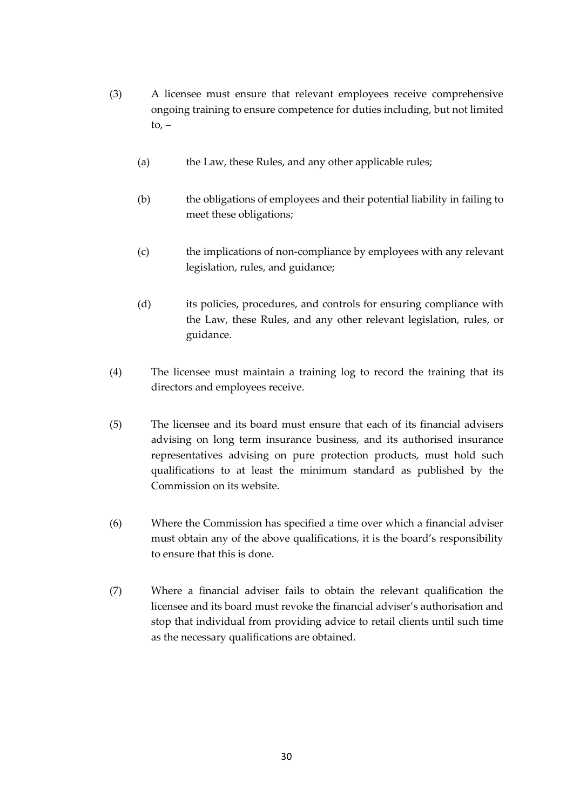- (3) A licensee must ensure that relevant employees receive comprehensive ongoing training to ensure competence for duties including, but not limited to,  $-$ 
	- (a) the Law, these Rules, and any other applicable rules;
	- (b) the obligations of employees and their potential liability in failing to meet these obligations;
	- (c) the implications of non-compliance by employees with any relevant legislation, rules, and guidance;
	- (d) its policies, procedures, and controls for ensuring compliance with the Law, these Rules, and any other relevant legislation, rules, or guidance.
- (4) The licensee must maintain a training log to record the training that its directors and employees receive.
- (5) The licensee and its board must ensure that each of its financial advisers advising on long term insurance business, and its authorised insurance representatives advising on pure protection products, must hold such qualifications to at least the minimum standard as published by the Commission on its website.
- (6) Where the Commission has specified a time over which a financial adviser must obtain any of the above qualifications, it is the board's responsibility to ensure that this is done.
- (7) Where a financial adviser fails to obtain the relevant qualification the licensee and its board must revoke the financial adviser's authorisation and stop that individual from providing advice to retail clients until such time as the necessary qualifications are obtained.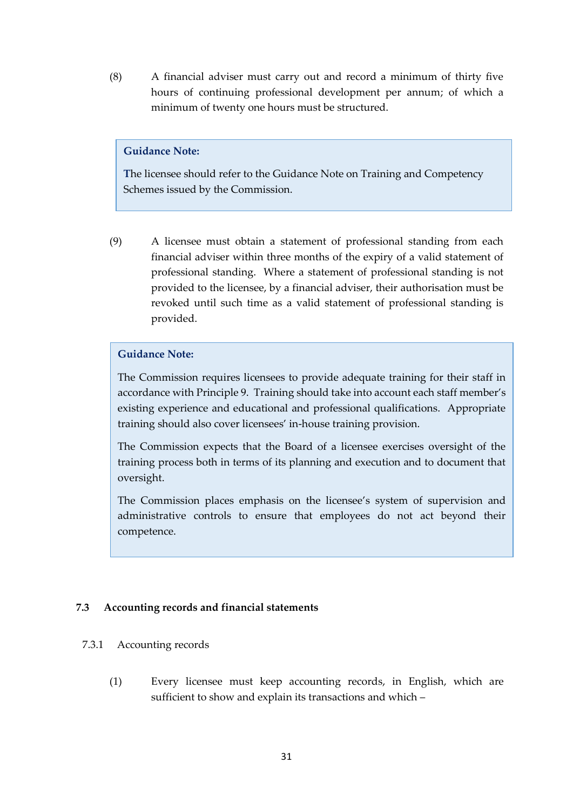(8) A financial adviser must carry out and record a minimum of thirty five hours of continuing professional development per annum; of which a minimum of twenty one hours must be structured.

#### **Guidance Note:**

**T**he licensee should refer to the Guidance Note on Training and Competency Schemes issued by the Commission.

(9) A licensee must obtain a statement of professional standing from each financial adviser within three months of the expiry of a valid statement of professional standing. Where a statement of professional standing is not provided to the licensee, by a financial adviser, their authorisation must be revoked until such time as a valid statement of professional standing is provided.

#### **Guidance Note:**

The Commission requires licensees to provide adequate training for their staff in accordance with Principle 9. Training should take into account each staff member's existing experience and educational and professional qualifications. Appropriate training should also cover licensees' in-house training provision.

The Commission expects that the Board of a licensee exercises oversight of the training process both in terms of its planning and execution and to document that oversight.

The Commission places emphasis on the licensee's system of supervision and administrative controls to ensure that employees do not act beyond their competence.

#### <span id="page-30-0"></span>**7.3 Accounting records and financial statements**

#### 7.3.1 Accounting records

(1) Every licensee must keep accounting records, in English, which are sufficient to show and explain its transactions and which –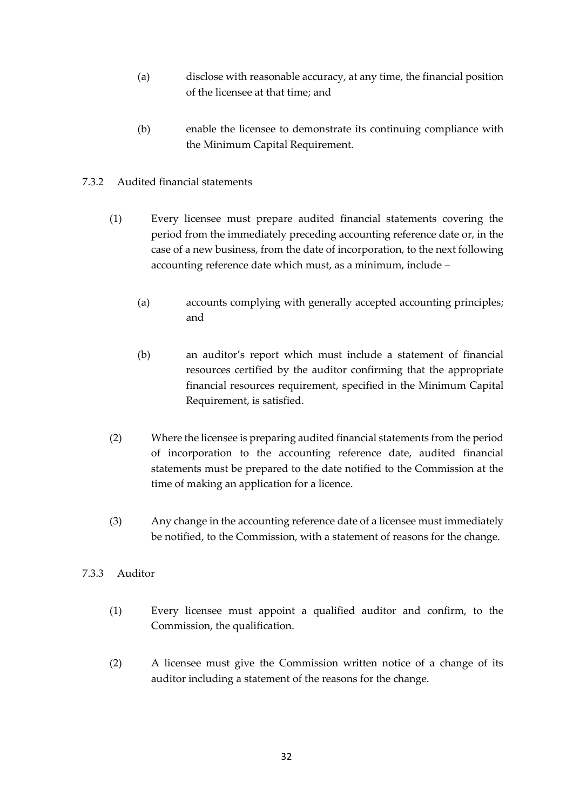- (a) disclose with reasonable accuracy, at any time, the financial position of the licensee at that time; and
- (b) enable the licensee to demonstrate its continuing compliance with the Minimum Capital Requirement.

# 7.3.2 Audited financial statements

- (1) Every licensee must prepare audited financial statements covering the period from the immediately preceding accounting reference date or, in the case of a new business, from the date of incorporation, to the next following accounting reference date which must, as a minimum, include –
	- (a) accounts complying with generally accepted accounting principles; and
	- (b) an auditor's report which must include a statement of financial resources certified by the auditor confirming that the appropriate financial resources requirement, specified in the Minimum Capital Requirement, is satisfied.
- (2) Where the licensee is preparing audited financial statements from the period of incorporation to the accounting reference date, audited financial statements must be prepared to the date notified to the Commission at the time of making an application for a licence.
- (3) Any change in the accounting reference date of a licensee must immediately be notified, to the Commission, with a statement of reasons for the change.

# 7.3.3 Auditor

- (1) Every licensee must appoint a qualified auditor and confirm, to the Commission, the qualification.
- (2) A licensee must give the Commission written notice of a change of its auditor including a statement of the reasons for the change.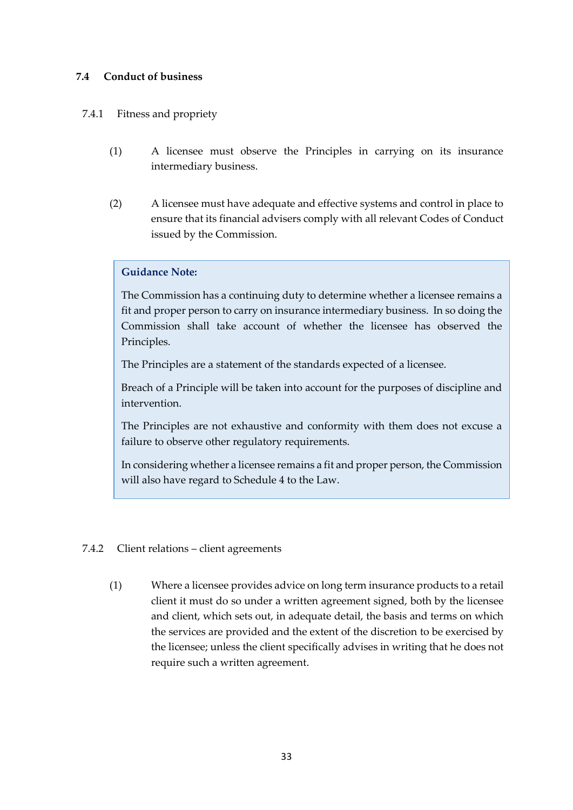### <span id="page-32-0"></span>**7.4 Conduct of business**

### 7.4.1 Fitness and propriety

- (1) A licensee must observe the Principles in carrying on its insurance intermediary business.
- (2) A licensee must have adequate and effective systems and control in place to ensure that its financial advisers comply with all relevant Codes of Conduct issued by the Commission.

#### **Guidance Note:**

The Commission has a continuing duty to determine whether a licensee remains a fit and proper person to carry on insurance intermediary business. In so doing the Commission shall take account of whether the licensee has observed the Principles.

The Principles are a statement of the standards expected of a licensee.

Breach of a Principle will be taken into account for the purposes of discipline and intervention.

The Principles are not exhaustive and conformity with them does not excuse a failure to observe other regulatory requirements.

In considering whether a licensee remains a fit and proper person, the Commission will also have regard to Schedule 4 to the Law.

#### 7.4.2 Client relations – client agreements

(1) Where a licensee provides advice on long term insurance products to a retail client it must do so under a written agreement signed, both by the licensee and client, which sets out, in adequate detail, the basis and terms on which the services are provided and the extent of the discretion to be exercised by the licensee; unless the client specifically advises in writing that he does not require such a written agreement.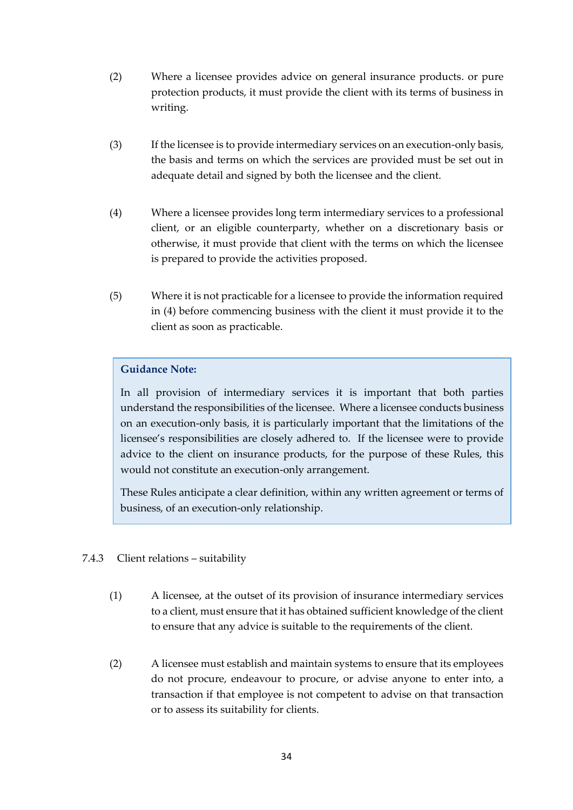- (2) Where a licensee provides advice on general insurance products. or pure protection products, it must provide the client with its terms of business in writing.
- (3) If the licensee is to provide intermediary services on an execution-only basis, the basis and terms on which the services are provided must be set out in adequate detail and signed by both the licensee and the client.
- (4) Where a licensee provides long term intermediary services to a professional client, or an eligible counterparty, whether on a discretionary basis or otherwise, it must provide that client with the terms on which the licensee is prepared to provide the activities proposed.
- (5) Where it is not practicable for a licensee to provide the information required in (4) before commencing business with the client it must provide it to the client as soon as practicable.

In all provision of intermediary services it is important that both parties understand the responsibilities of the licensee. Where a licensee conducts business on an execution-only basis, it is particularly important that the limitations of the licensee's responsibilities are closely adhered to. If the licensee were to provide advice to the client on insurance products, for the purpose of these Rules, this would not constitute an execution-only arrangement.

These Rules anticipate a clear definition, within any written agreement or terms of business, of an execution-only relationship.

- 7.4.3 Client relations suitability
	- (1) A licensee, at the outset of its provision of insurance intermediary services to a client, must ensure that it has obtained sufficient knowledge of the client to ensure that any advice is suitable to the requirements of the client.
	- (2) A licensee must establish and maintain systems to ensure that its employees do not procure, endeavour to procure, or advise anyone to enter into, a transaction if that employee is not competent to advise on that transaction or to assess its suitability for clients.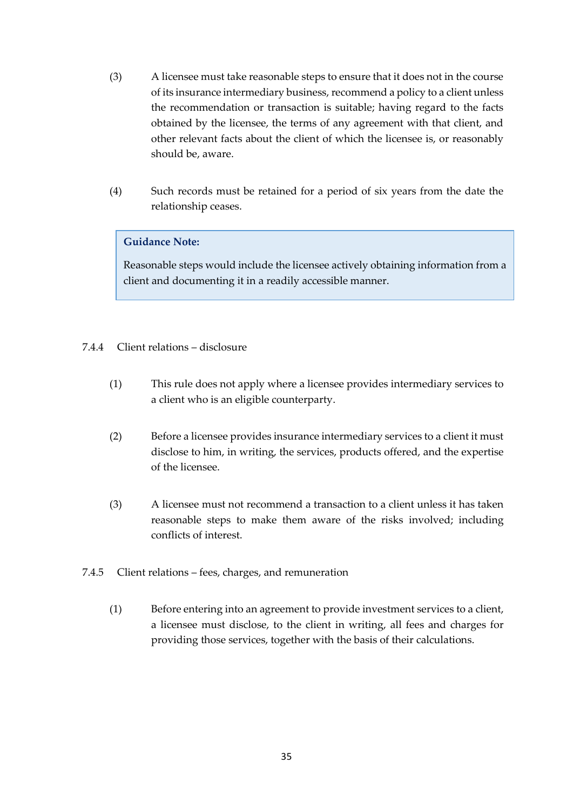- (3) A licensee must take reasonable steps to ensure that it does not in the course of its insurance intermediary business, recommend a policy to a client unless the recommendation or transaction is suitable; having regard to the facts obtained by the licensee, the terms of any agreement with that client, and other relevant facts about the client of which the licensee is, or reasonably should be, aware.
- (4) Such records must be retained for a period of six years from the date the relationship ceases.

Reasonable steps would include the licensee actively obtaining information from a client and documenting it in a readily accessible manner.

# 7.4.4 Client relations – disclosure

- (1) This rule does not apply where a licensee provides intermediary services to a client who is an eligible counterparty.
- (2) Before a licensee provides insurance intermediary services to a client it must disclose to him, in writing, the services, products offered, and the expertise of the licensee.
- (3) A licensee must not recommend a transaction to a client unless it has taken reasonable steps to make them aware of the risks involved; including conflicts of interest.
- 7.4.5 Client relations fees, charges, and remuneration
	- (1) Before entering into an agreement to provide investment services to a client, a licensee must disclose, to the client in writing, all fees and charges for providing those services, together with the basis of their calculations.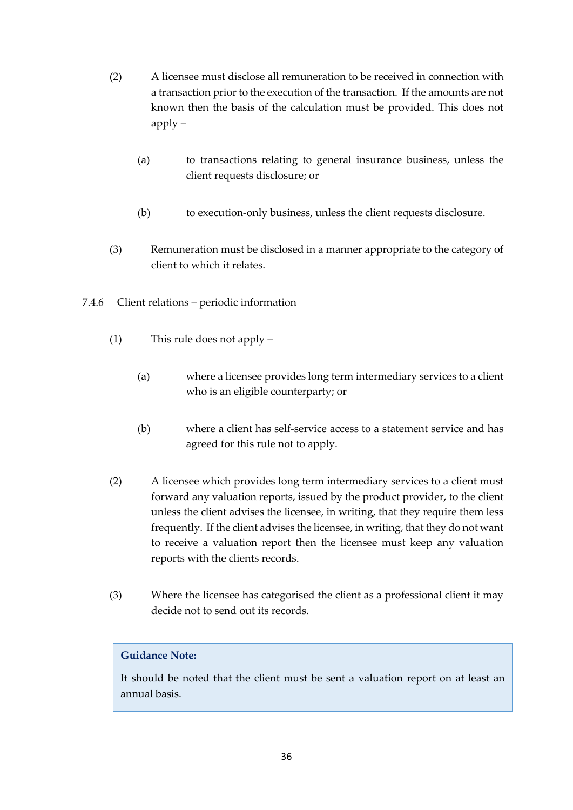- (2) A licensee must disclose all remuneration to be received in connection with a transaction prior to the execution of the transaction. If the amounts are not known then the basis of the calculation must be provided. This does not apply –
	- (a) to transactions relating to general insurance business, unless the client requests disclosure; or
	- (b) to execution-only business, unless the client requests disclosure.
- (3) Remuneration must be disclosed in a manner appropriate to the category of client to which it relates.
- 7.4.6 Client relations periodic information
	- (1) This rule does not apply
		- (a) where a licensee provides long term intermediary services to a client who is an eligible counterparty; or
		- (b) where a client has self-service access to a statement service and has agreed for this rule not to apply.
	- (2) A licensee which provides long term intermediary services to a client must forward any valuation reports, issued by the product provider, to the client unless the client advises the licensee, in writing, that they require them less frequently. If the client advises the licensee, in writing, that they do not want to receive a valuation report then the licensee must keep any valuation reports with the clients records.
	- (3) Where the licensee has categorised the client as a professional client it may decide not to send out its records.

It should be noted that the client must be sent a valuation report on at least an annual basis.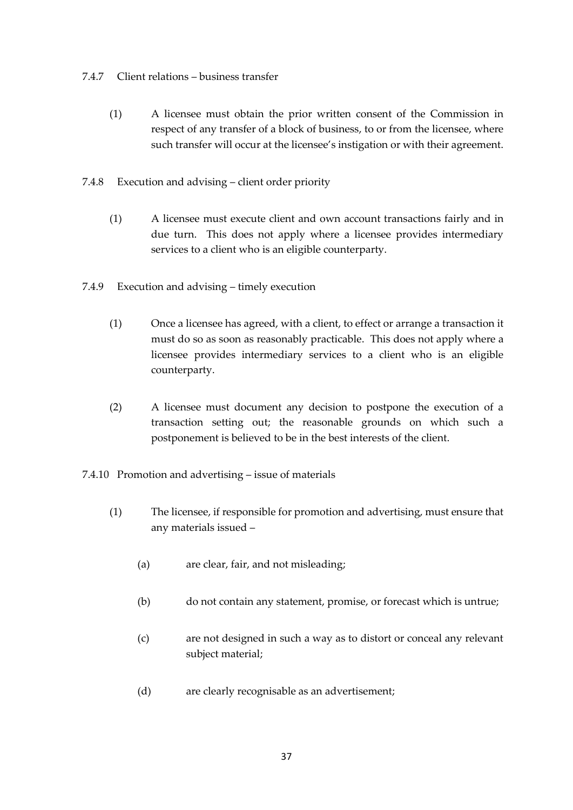#### 7.4.7 Client relations – business transfer

- (1) A licensee must obtain the prior written consent of the Commission in respect of any transfer of a block of business, to or from the licensee, where such transfer will occur at the licensee's instigation or with their agreement.
- 7.4.8 Execution and advising client order priority
	- (1) A licensee must execute client and own account transactions fairly and in due turn. This does not apply where a licensee provides intermediary services to a client who is an eligible counterparty.
- 7.4.9 Execution and advising timely execution
	- (1) Once a licensee has agreed, with a client, to effect or arrange a transaction it must do so as soon as reasonably practicable. This does not apply where a licensee provides intermediary services to a client who is an eligible counterparty.
	- (2) A licensee must document any decision to postpone the execution of a transaction setting out; the reasonable grounds on which such a postponement is believed to be in the best interests of the client.
- 7.4.10 Promotion and advertising issue of materials
	- (1) The licensee, if responsible for promotion and advertising, must ensure that any materials issued –
		- (a) are clear, fair, and not misleading;
		- (b) do not contain any statement, promise, or forecast which is untrue;
		- (c) are not designed in such a way as to distort or conceal any relevant subject material;
		- (d) are clearly recognisable as an advertisement;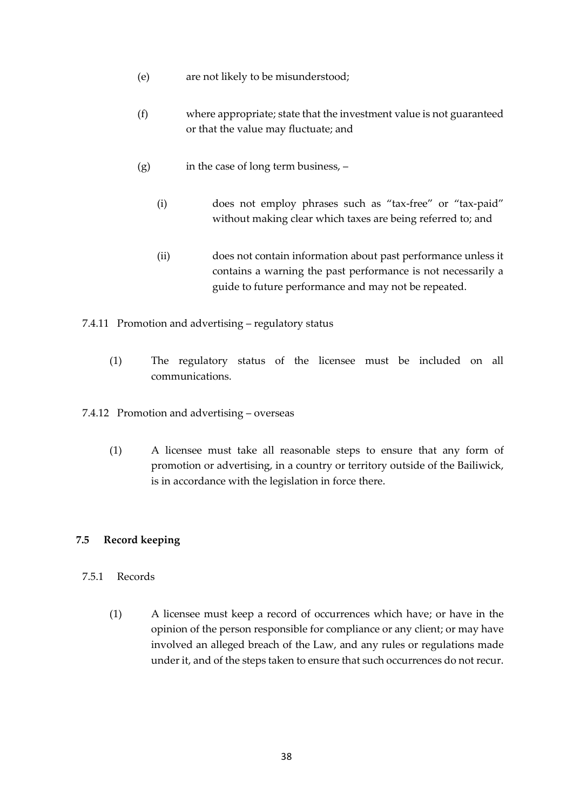- (e) are not likely to be misunderstood;
- (f) where appropriate; state that the investment value is not guaranteed or that the value may fluctuate; and
- $(g)$  in the case of long term business,  $-\frac{1}{2}$ 
	- (i) does not employ phrases such as "tax-free" or "tax-paid" without making clear which taxes are being referred to; and
	- (ii) does not contain information about past performance unless it contains a warning the past performance is not necessarily a guide to future performance and may not be repeated.
- 7.4.11 Promotion and advertising regulatory status
	- (1) The regulatory status of the licensee must be included on all communications.
- 7.4.12 Promotion and advertising overseas
	- (1) A licensee must take all reasonable steps to ensure that any form of promotion or advertising, in a country or territory outside of the Bailiwick, is in accordance with the legislation in force there.

#### <span id="page-37-0"></span>**7.5 Record keeping**

#### 7.5.1 Records

(1) A licensee must keep a record of occurrences which have; or have in the opinion of the person responsible for compliance or any client; or may have involved an alleged breach of the Law, and any rules or regulations made under it, and of the steps taken to ensure that such occurrences do not recur.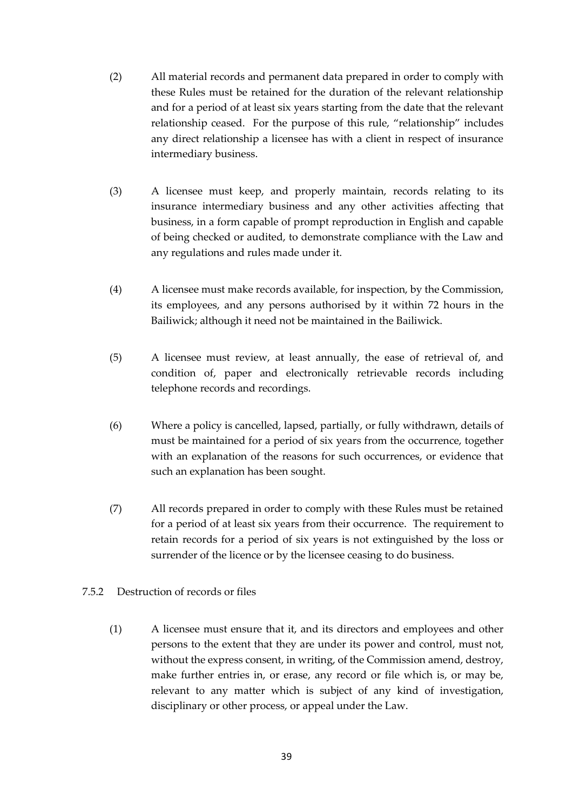- (2) All material records and permanent data prepared in order to comply with these Rules must be retained for the duration of the relevant relationship and for a period of at least six years starting from the date that the relevant relationship ceased. For the purpose of this rule, "relationship" includes any direct relationship a licensee has with a client in respect of insurance intermediary business.
- (3) A licensee must keep, and properly maintain, records relating to its insurance intermediary business and any other activities affecting that business, in a form capable of prompt reproduction in English and capable of being checked or audited, to demonstrate compliance with the Law and any regulations and rules made under it.
- (4) A licensee must make records available, for inspection, by the Commission, its employees, and any persons authorised by it within 72 hours in the Bailiwick; although it need not be maintained in the Bailiwick.
- (5) A licensee must review, at least annually, the ease of retrieval of, and condition of, paper and electronically retrievable records including telephone records and recordings.
- (6) Where a policy is cancelled, lapsed, partially, or fully withdrawn, details of must be maintained for a period of six years from the occurrence, together with an explanation of the reasons for such occurrences, or evidence that such an explanation has been sought.
- (7) All records prepared in order to comply with these Rules must be retained for a period of at least six years from their occurrence. The requirement to retain records for a period of six years is not extinguished by the loss or surrender of the licence or by the licensee ceasing to do business.
- 7.5.2 Destruction of records or files
	- (1) A licensee must ensure that it, and its directors and employees and other persons to the extent that they are under its power and control, must not, without the express consent, in writing, of the Commission amend, destroy, make further entries in, or erase, any record or file which is, or may be, relevant to any matter which is subject of any kind of investigation, disciplinary or other process, or appeal under the Law.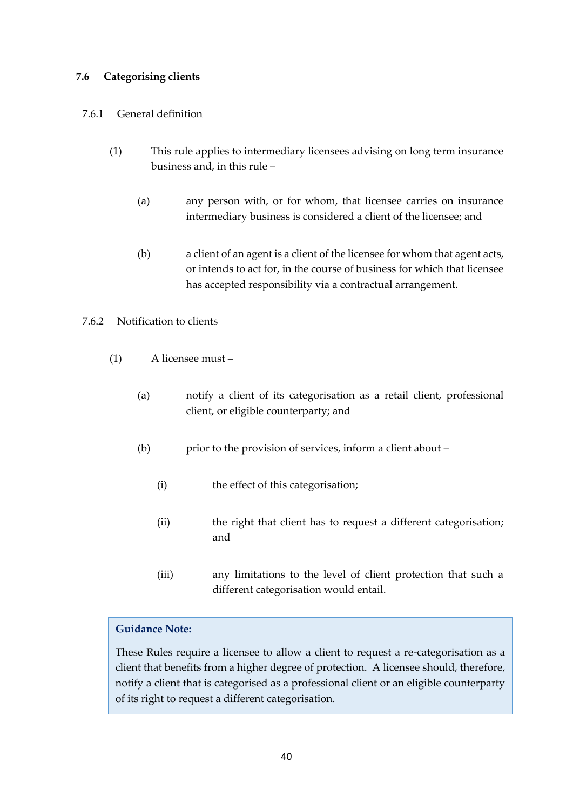# <span id="page-39-0"></span>**7.6 Categorising clients**

### 7.6.1 General definition

- (1) This rule applies to intermediary licensees advising on long term insurance business and, in this rule –
	- (a) any person with, or for whom, that licensee carries on insurance intermediary business is considered a client of the licensee; and
	- (b) a client of an agent is a client of the licensee for whom that agent acts, or intends to act for, in the course of business for which that licensee has accepted responsibility via a contractual arrangement.

# 7.6.2 Notification to clients

- (1) A licensee must
	- (a) notify a client of its categorisation as a retail client, professional client, or eligible counterparty; and
	- (b) prior to the provision of services, inform a client about
		- (i) the effect of this categorisation;
		- (ii) the right that client has to request a different categorisation; and
		- (iii) any limitations to the level of client protection that such a different categorisation would entail.

#### **Guidance Note:**

These Rules require a licensee to allow a client to request a re-categorisation as a client that benefits from a higher degree of protection. A licensee should, therefore, notify a client that is categorised as a professional client or an eligible counterparty of its right to request a different categorisation.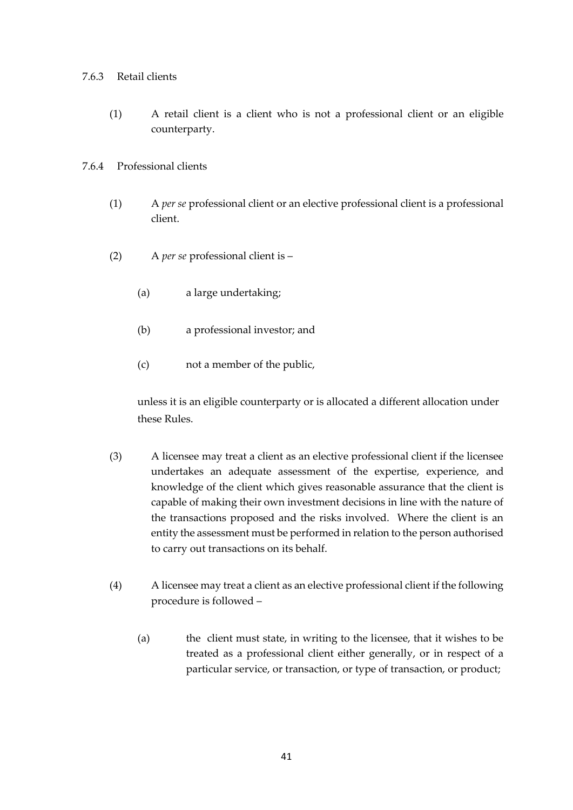#### 7.6.3 Retail clients

(1) A retail client is a client who is not a professional client or an eligible counterparty.

### 7.6.4 Professional clients

- (1) A *per se* professional client or an elective professional client is a professional client.
- (2) A *per se* professional client is
	- (a) a large undertaking;
	- (b) a professional investor; and
	- (c) not a member of the public,

unless it is an eligible counterparty or is allocated a different allocation under these Rules.

- (3) A licensee may treat a client as an elective professional client if the licensee undertakes an adequate assessment of the expertise, experience, and knowledge of the client which gives reasonable assurance that the client is capable of making their own investment decisions in line with the nature of the transactions proposed and the risks involved. Where the client is an entity the assessment must be performed in relation to the person authorised to carry out transactions on its behalf.
- (4) A licensee may treat a client as an elective professional client if the following procedure is followed –
	- (a) the client must state, in writing to the licensee, that it wishes to be treated as a professional client either generally, or in respect of a particular service, or transaction, or type of transaction, or product;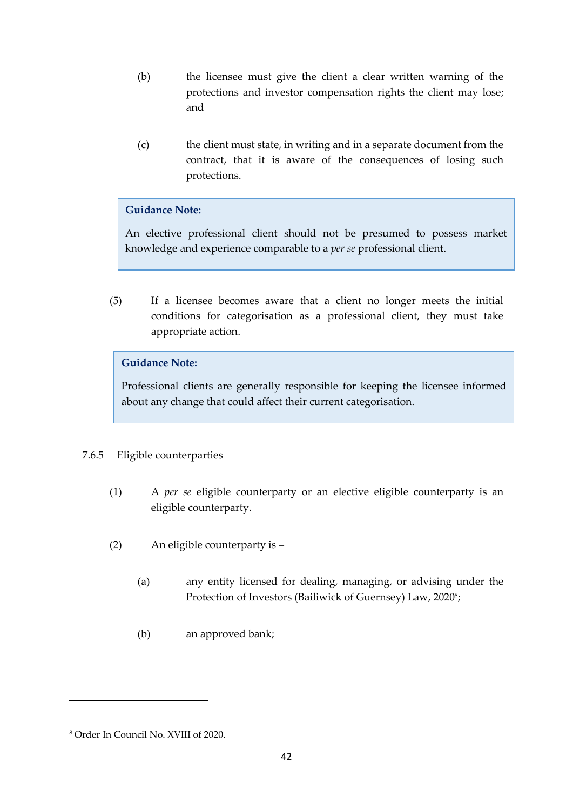- (b) the licensee must give the client a clear written warning of the protections and investor compensation rights the client may lose; and
- (c) the client must state, in writing and in a separate document from the contract, that it is aware of the consequences of losing such protections.

An elective professional client should not be presumed to possess market knowledge and experience comparable to a *per se* professional client.

(5) If a licensee becomes aware that a client no longer meets the initial conditions for categorisation as a professional client, they must take appropriate action.

# **Guidance Note:**

Professional clients are generally responsible for keeping the licensee informed about any change that could affect their current categorisation.

# 7.6.5 Eligible counterparties

- (1) A *per se* eligible counterparty or an elective eligible counterparty is an eligible counterparty.
- (2) An eligible counterparty is
	- (a) any entity licensed for dealing, managing, or advising under the Protection of Investors (Bailiwick of Guernsey) Law, 2020 8 ;
	- (b) an approved bank;

<sup>8</sup> Order In Council No. XVIII of 2020.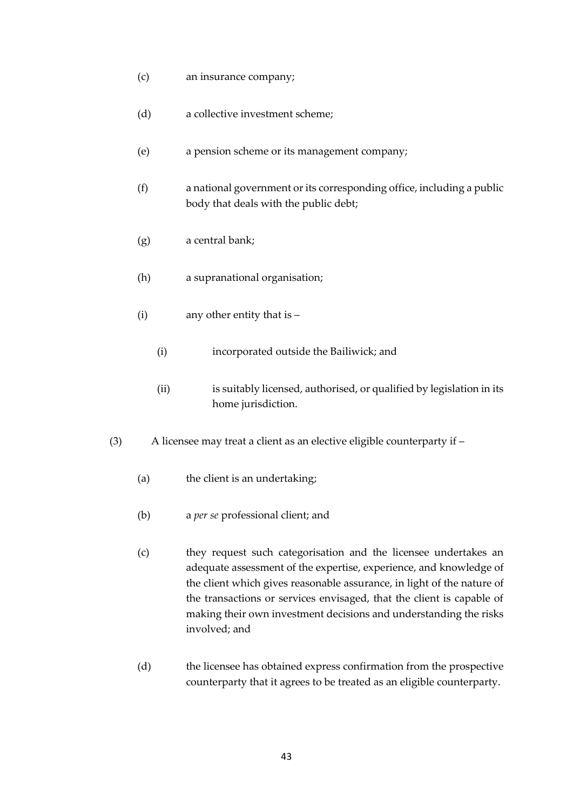- (c) an insurance company;
- (d) a collective investment scheme;
- (e) a pension scheme or its management company;
- (f) a national government or its corresponding office, including a public body that deals with the public debt;
- (g) a central bank;
- (h) a supranational organisation;
- (i) any other entity that is
	- (i) incorporated outside the Bailiwick; and
	- (ii) is suitably licensed, authorised, or qualified by legislation in its home jurisdiction.
- (3) A licensee may treat a client as an elective eligible counterparty if
	- (a) the client is an undertaking;
	- (b) a *per se* professional client; and
	- (c) they request such categorisation and the licensee undertakes an adequate assessment of the expertise, experience, and knowledge of the client which gives reasonable assurance, in light of the nature of the transactions or services envisaged, that the client is capable of making their own investment decisions and understanding the risks involved; and
	- (d) the licensee has obtained express confirmation from the prospective counterparty that it agrees to be treated as an eligible counterparty.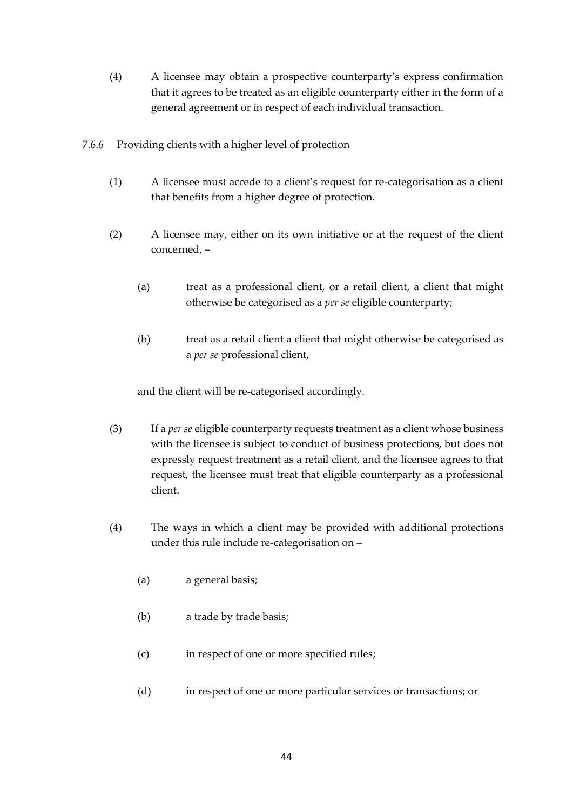- (4) A licensee may obtain a prospective counterparty's express confirmation that it agrees to be treated as an eligible counterparty either in the form of a general agreement or in respect of each individual transaction.
- 7.6.6 Providing clients with a higher level of protection
	- (1) A licensee must accede to a client's request for re-categorisation as a client that benefits from a higher degree of protection.
	- (2) A licensee may, either on its own initiative or at the request of the client concerned, –
		- (a) treat as a professional client, or a retail client, a client that might otherwise be categorised as a *per se* eligible counterparty;
		- (b) treat as a retail client a client that might otherwise be categorised as a *per se* professional client,

and the client will be re-categorised accordingly.

- (3) If a *per se* eligible counterparty requests treatment as a client whose business with the licensee is subject to conduct of business protections, but does not expressly request treatment as a retail client, and the licensee agrees to that request, the licensee must treat that eligible counterparty as a professional client.
- (4) The ways in which a client may be provided with additional protections under this rule include re-categorisation on –
	- (a) a general basis;
	- (b) a trade by trade basis;
	- (c) in respect of one or more specified rules;
	- (d) in respect of one or more particular services or transactions; or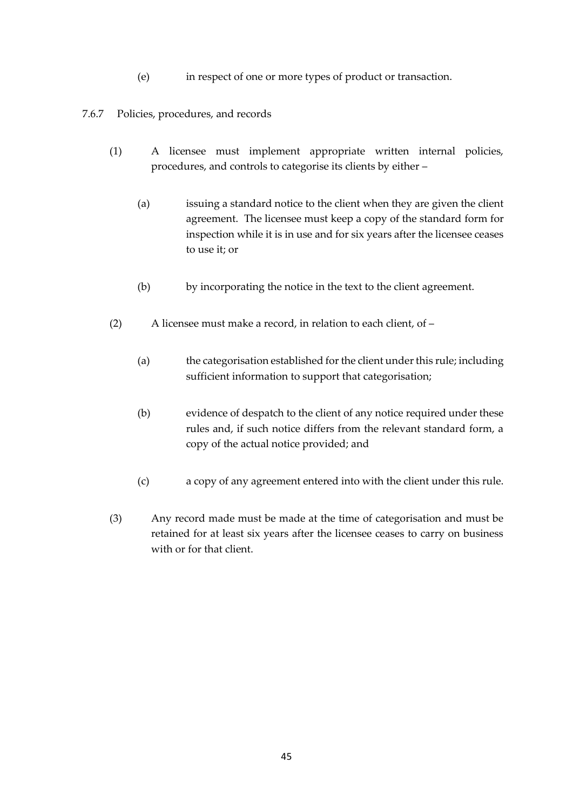- (e) in respect of one or more types of product or transaction.
- 7.6.7 Policies, procedures, and records
	- (1) A licensee must implement appropriate written internal policies, procedures, and controls to categorise its clients by either –
		- (a) issuing a standard notice to the client when they are given the client agreement. The licensee must keep a copy of the standard form for inspection while it is in use and for six years after the licensee ceases to use it; or
		- (b) by incorporating the notice in the text to the client agreement.
	- (2) A licensee must make a record, in relation to each client, of
		- (a) the categorisation established for the client under this rule; including sufficient information to support that categorisation;
		- (b) evidence of despatch to the client of any notice required under these rules and, if such notice differs from the relevant standard form, a copy of the actual notice provided; and
		- (c) a copy of any agreement entered into with the client under this rule.
	- (3) Any record made must be made at the time of categorisation and must be retained for at least six years after the licensee ceases to carry on business with or for that client.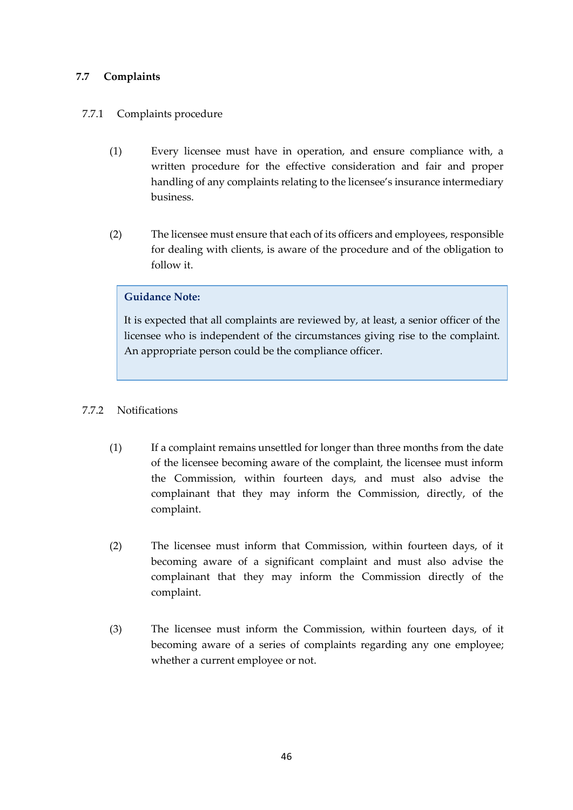# <span id="page-45-0"></span>**7.7 Complaints**

# 7.7.1 Complaints procedure

- (1) Every licensee must have in operation, and ensure compliance with, a written procedure for the effective consideration and fair and proper handling of any complaints relating to the licensee's insurance intermediary business.
- (2) The licensee must ensure that each of its officers and employees, responsible for dealing with clients, is aware of the procedure and of the obligation to follow it.

# **Guidance Note:**

It is expected that all complaints are reviewed by, at least, a senior officer of the licensee who is independent of the circumstances giving rise to the complaint. An appropriate person could be the compliance officer.

### 7.7.2 Notifications

- (1) If a complaint remains unsettled for longer than three months from the date of the licensee becoming aware of the complaint, the licensee must inform the Commission, within fourteen days, and must also advise the complainant that they may inform the Commission, directly, of the complaint.
- (2) The licensee must inform that Commission, within fourteen days, of it becoming aware of a significant complaint and must also advise the complainant that they may inform the Commission directly of the complaint.
- (3) The licensee must inform the Commission, within fourteen days, of it becoming aware of a series of complaints regarding any one employee; whether a current employee or not.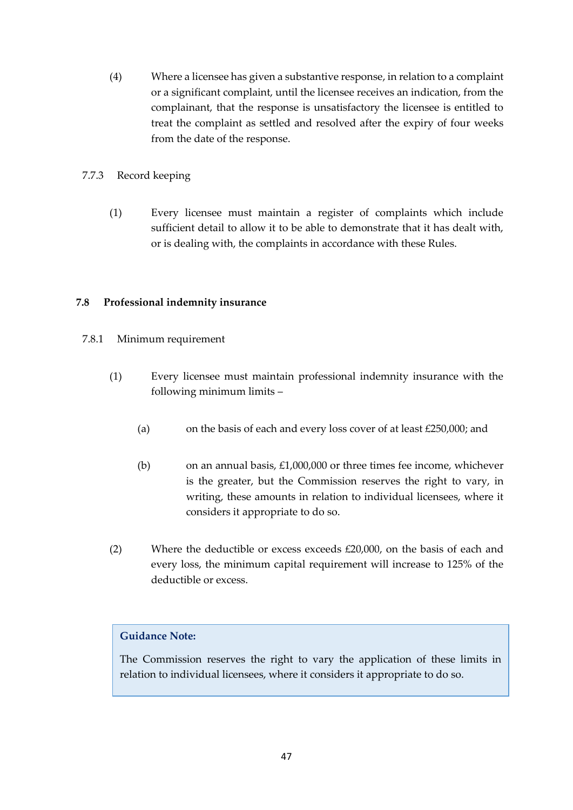(4) Where a licensee has given a substantive response, in relation to a complaint or a significant complaint, until the licensee receives an indication, from the complainant, that the response is unsatisfactory the licensee is entitled to treat the complaint as settled and resolved after the expiry of four weeks from the date of the response.

### 7.7.3 Record keeping

(1) Every licensee must maintain a register of complaints which include sufficient detail to allow it to be able to demonstrate that it has dealt with, or is dealing with, the complaints in accordance with these Rules.

# <span id="page-46-0"></span>**7.8 Professional indemnity insurance**

- 7.8.1 Minimum requirement
	- (1) Every licensee must maintain professional indemnity insurance with the following minimum limits –
		- (a) on the basis of each and every loss cover of at least £250,000; and
		- (b) on an annual basis,  $£1,000,000$  or three times fee income, whichever is the greater, but the Commission reserves the right to vary, in writing, these amounts in relation to individual licensees, where it considers it appropriate to do so.
	- (2) Where the deductible or excess exceeds £20,000, on the basis of each and every loss, the minimum capital requirement will increase to 125% of the deductible or excess.

# **Guidance Note:**

The Commission reserves the right to vary the application of these limits in relation to individual licensees, where it considers it appropriate to do so.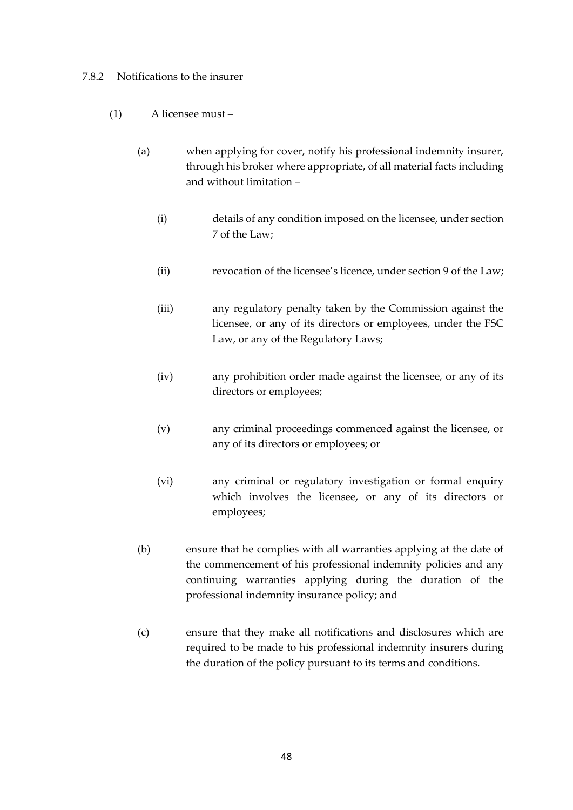#### 7.8.2 Notifications to the insurer

- (1) A licensee must
	- (a) when applying for cover, notify his professional indemnity insurer, through his broker where appropriate, of all material facts including and without limitation –
		- (i) details of any condition imposed on the licensee, under section 7 of the Law;
		- (ii) revocation of the licensee's licence, under section 9 of the Law;
		- (iii) any regulatory penalty taken by the Commission against the licensee, or any of its directors or employees, under the FSC Law, or any of the Regulatory Laws;
		- (iv) any prohibition order made against the licensee, or any of its directors or employees;
		- (v) any criminal proceedings commenced against the licensee, or any of its directors or employees; or
		- (vi) any criminal or regulatory investigation or formal enquiry which involves the licensee, or any of its directors or employees;
	- (b) ensure that he complies with all warranties applying at the date of the commencement of his professional indemnity policies and any continuing warranties applying during the duration of the professional indemnity insurance policy; and
	- (c) ensure that they make all notifications and disclosures which are required to be made to his professional indemnity insurers during the duration of the policy pursuant to its terms and conditions.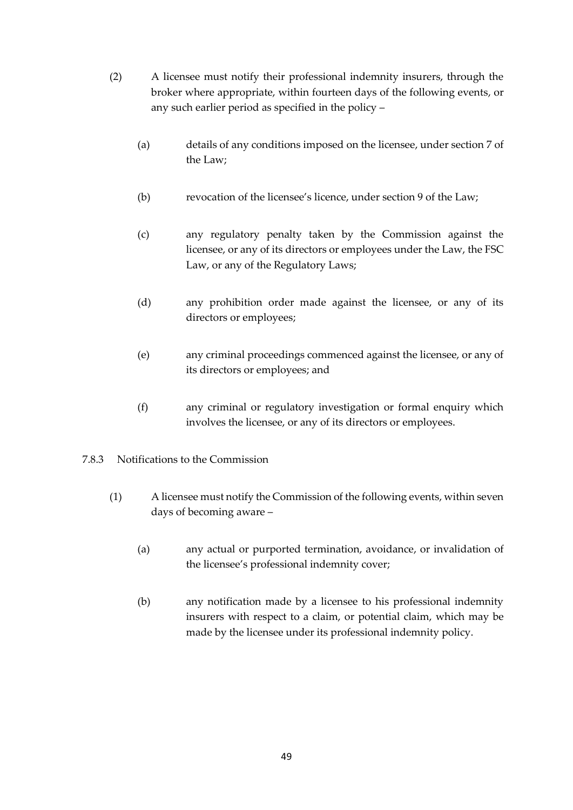- (2) A licensee must notify their professional indemnity insurers, through the broker where appropriate, within fourteen days of the following events, or any such earlier period as specified in the policy –
	- (a) details of any conditions imposed on the licensee, under section 7 of the Law;
	- (b) revocation of the licensee's licence, under section 9 of the Law;
	- (c) any regulatory penalty taken by the Commission against the licensee, or any of its directors or employees under the Law, the FSC Law, or any of the Regulatory Laws;
	- (d) any prohibition order made against the licensee, or any of its directors or employees;
	- (e) any criminal proceedings commenced against the licensee, or any of its directors or employees; and
	- (f) any criminal or regulatory investigation or formal enquiry which involves the licensee, or any of its directors or employees.
- 7.8.3 Notifications to the Commission
	- (1) A licensee must notify the Commission of the following events, within seven days of becoming aware –
		- (a) any actual or purported termination, avoidance, or invalidation of the licensee's professional indemnity cover;
		- (b) any notification made by a licensee to his professional indemnity insurers with respect to a claim, or potential claim, which may be made by the licensee under its professional indemnity policy.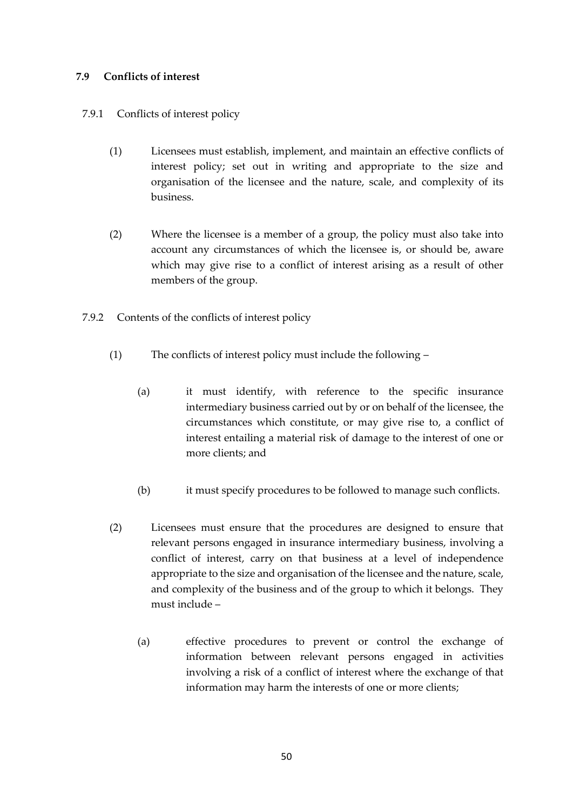# <span id="page-49-0"></span>**7.9 Conflicts of interest**

# 7.9.1 Conflicts of interest policy

- (1) Licensees must establish, implement, and maintain an effective conflicts of interest policy; set out in writing and appropriate to the size and organisation of the licensee and the nature, scale, and complexity of its business.
- (2) Where the licensee is a member of a group, the policy must also take into account any circumstances of which the licensee is, or should be, aware which may give rise to a conflict of interest arising as a result of other members of the group.
- 7.9.2 Contents of the conflicts of interest policy
	- (1) The conflicts of interest policy must include the following
		- (a) it must identify, with reference to the specific insurance intermediary business carried out by or on behalf of the licensee, the circumstances which constitute, or may give rise to, a conflict of interest entailing a material risk of damage to the interest of one or more clients; and
		- (b) it must specify procedures to be followed to manage such conflicts.
	- (2) Licensees must ensure that the procedures are designed to ensure that relevant persons engaged in insurance intermediary business, involving a conflict of interest, carry on that business at a level of independence appropriate to the size and organisation of the licensee and the nature, scale, and complexity of the business and of the group to which it belongs. They must include –
		- (a) effective procedures to prevent or control the exchange of information between relevant persons engaged in activities involving a risk of a conflict of interest where the exchange of that information may harm the interests of one or more clients;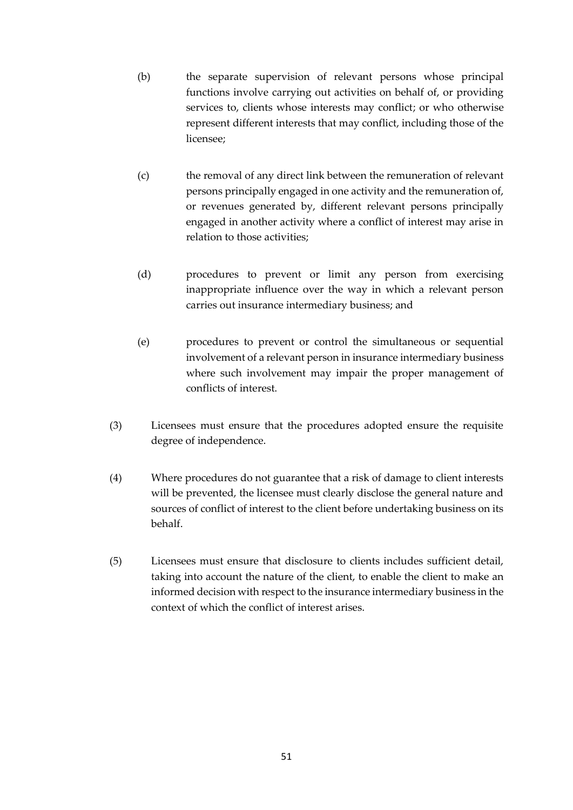- (b) the separate supervision of relevant persons whose principal functions involve carrying out activities on behalf of, or providing services to, clients whose interests may conflict; or who otherwise represent different interests that may conflict, including those of the licensee;
- (c) the removal of any direct link between the remuneration of relevant persons principally engaged in one activity and the remuneration of, or revenues generated by, different relevant persons principally engaged in another activity where a conflict of interest may arise in relation to those activities;
- (d) procedures to prevent or limit any person from exercising inappropriate influence over the way in which a relevant person carries out insurance intermediary business; and
- (e) procedures to prevent or control the simultaneous or sequential involvement of a relevant person in insurance intermediary business where such involvement may impair the proper management of conflicts of interest.
- (3) Licensees must ensure that the procedures adopted ensure the requisite degree of independence.
- (4) Where procedures do not guarantee that a risk of damage to client interests will be prevented, the licensee must clearly disclose the general nature and sources of conflict of interest to the client before undertaking business on its behalf.
- (5) Licensees must ensure that disclosure to clients includes sufficient detail, taking into account the nature of the client, to enable the client to make an informed decision with respect to the insurance intermediary business in the context of which the conflict of interest arises.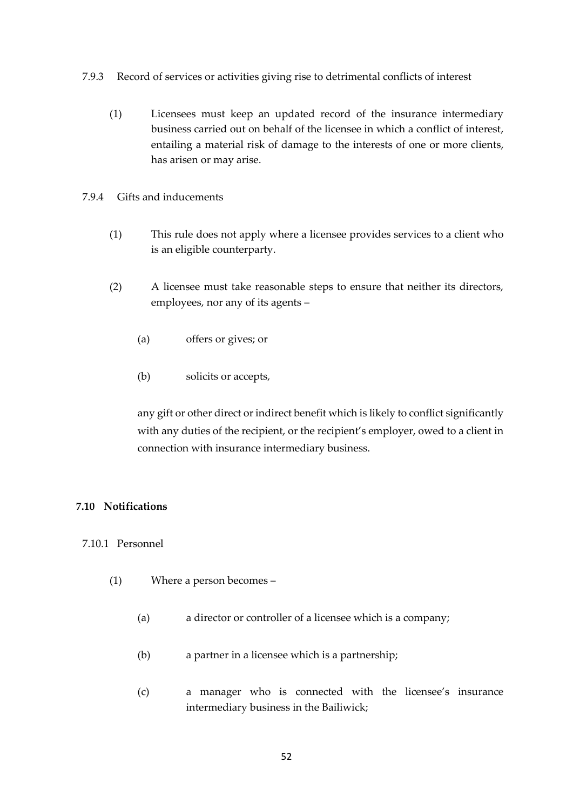- 7.9.3 Record of services or activities giving rise to detrimental conflicts of interest
	- (1) Licensees must keep an updated record of the insurance intermediary business carried out on behalf of the licensee in which a conflict of interest, entailing a material risk of damage to the interests of one or more clients, has arisen or may arise.
- 7.9.4 Gifts and inducements
	- (1) This rule does not apply where a licensee provides services to a client who is an eligible counterparty.
	- (2) A licensee must take reasonable steps to ensure that neither its directors, employees, nor any of its agents –
		- (a) offers or gives; or
		- (b) solicits or accepts,

any gift or other direct or indirect benefit which is likely to conflict significantly with any duties of the recipient, or the recipient's employer, owed to a client in connection with insurance intermediary business.

#### <span id="page-51-0"></span>**7.10 Notifications**

#### 7.10.1 Personnel

- (1) Where a person becomes
	- (a) a director or controller of a licensee which is a company;
	- (b) a partner in a licensee which is a partnership;
	- (c) a manager who is connected with the licensee's insurance intermediary business in the Bailiwick;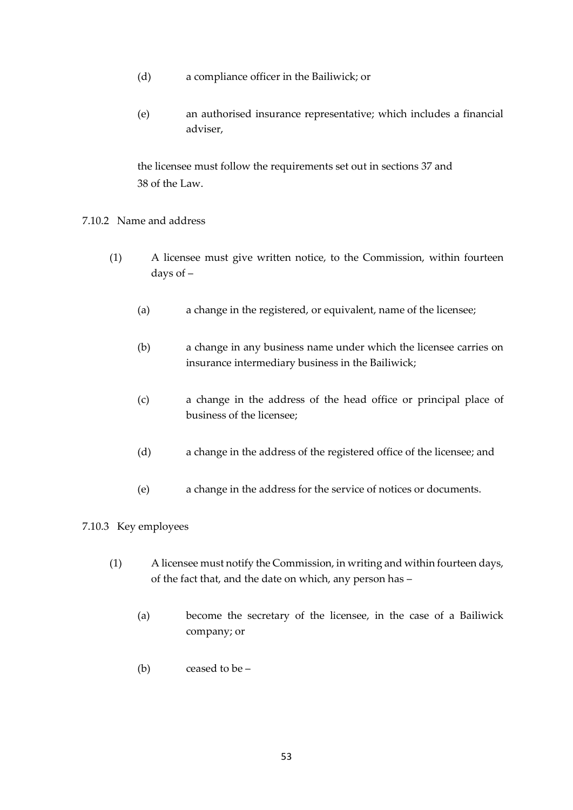- (d) a compliance officer in the Bailiwick; or
- (e) an authorised insurance representative; which includes a financial adviser,

the licensee must follow the requirements set out in sections 37 and 38 of the Law.

#### 7.10.2 Name and address

- (1) A licensee must give written notice, to the Commission, within fourteen days of –
	- (a) a change in the registered, or equivalent, name of the licensee;
	- (b) a change in any business name under which the licensee carries on insurance intermediary business in the Bailiwick;
	- (c) a change in the address of the head office or principal place of business of the licensee;
	- (d) a change in the address of the registered office of the licensee; and
	- (e) a change in the address for the service of notices or documents.

# 7.10.3 Key employees

- (1) A licensee must notify the Commission, in writing and within fourteen days, of the fact that, and the date on which, any person has –
	- (a) become the secretary of the licensee, in the case of a Bailiwick company; or
	- (b) ceased to be –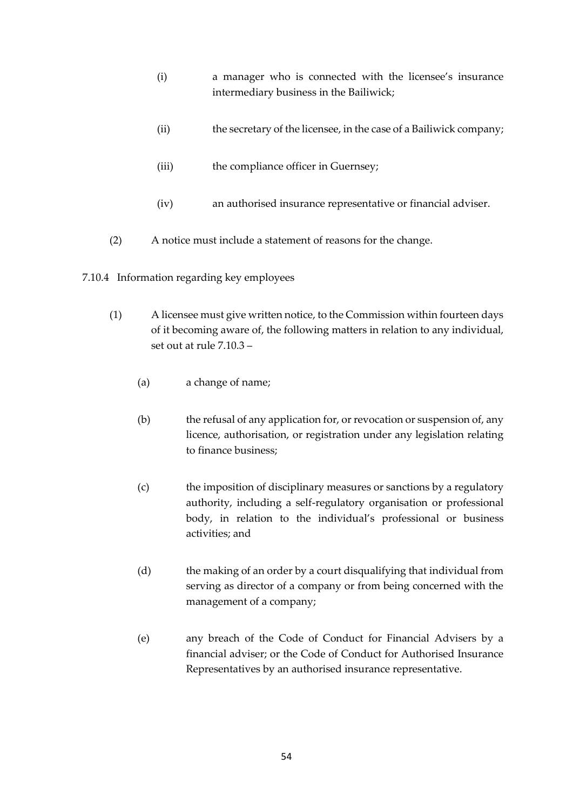- (i) a manager who is connected with the licensee's insurance intermediary business in the Bailiwick;
- (ii) the secretary of the licensee, in the case of a Bailiwick company;
- (iii) the compliance officer in Guernsey;
- (iv) an authorised insurance representative or financial adviser.
- (2) A notice must include a statement of reasons for the change.
- 7.10.4 Information regarding key employees
	- (1) A licensee must give written notice, to the Commission within fourteen days of it becoming aware of, the following matters in relation to any individual, set out at rule 7.10.3 –
		- (a) a change of name;
		- (b) the refusal of any application for, or revocation or suspension of, any licence, authorisation, or registration under any legislation relating to finance business;
		- (c) the imposition of disciplinary measures or sanctions by a regulatory authority, including a self-regulatory organisation or professional body, in relation to the individual's professional or business activities; and
		- (d) the making of an order by a court disqualifying that individual from serving as director of a company or from being concerned with the management of a company;
		- (e) any breach of the Code of Conduct for Financial Advisers by a financial adviser; or the Code of Conduct for Authorised Insurance Representatives by an authorised insurance representative.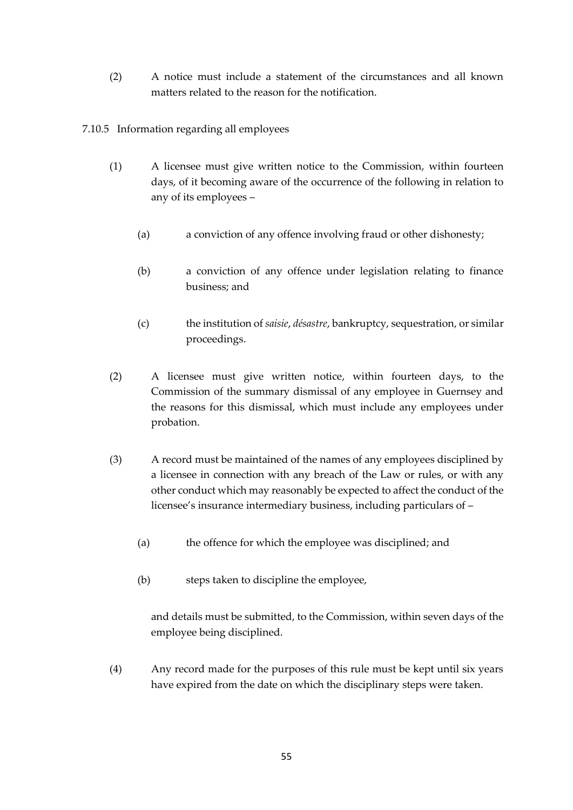(2) A notice must include a statement of the circumstances and all known matters related to the reason for the notification.

7.10.5 Information regarding all employees

- (1) A licensee must give written notice to the Commission, within fourteen days, of it becoming aware of the occurrence of the following in relation to any of its employees –
	- (a) a conviction of any offence involving fraud or other dishonesty;
	- (b) a conviction of any offence under legislation relating to finance business; and
	- (c) the institution of *saisie*, *désastre*, bankruptcy, sequestration, or similar proceedings.
- (2) A licensee must give written notice, within fourteen days, to the Commission of the summary dismissal of any employee in Guernsey and the reasons for this dismissal, which must include any employees under probation.
- (3) A record must be maintained of the names of any employees disciplined by a licensee in connection with any breach of the Law or rules, or with any other conduct which may reasonably be expected to affect the conduct of the licensee's insurance intermediary business, including particulars of –
	- (a) the offence for which the employee was disciplined; and
	- (b) steps taken to discipline the employee,

and details must be submitted, to the Commission, within seven days of the employee being disciplined.

(4) Any record made for the purposes of this rule must be kept until six years have expired from the date on which the disciplinary steps were taken.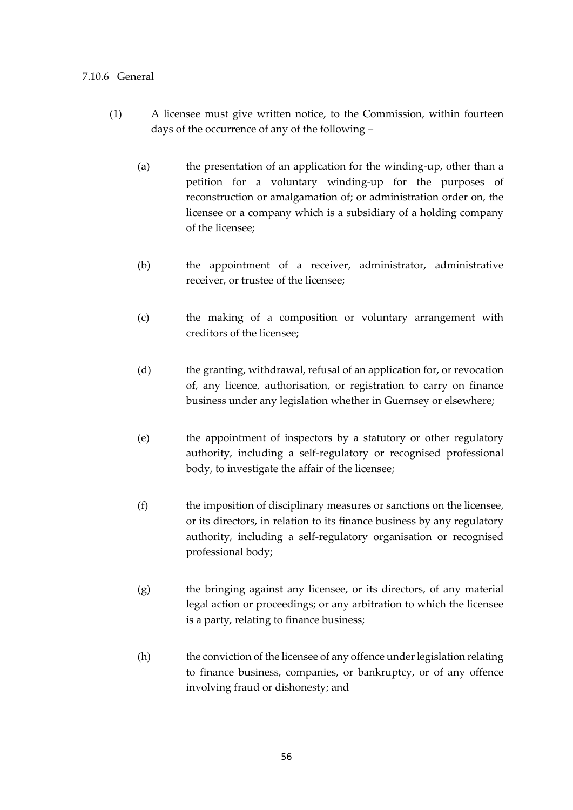#### 7.10.6 General

- (1) A licensee must give written notice, to the Commission, within fourteen days of the occurrence of any of the following –
	- (a) the presentation of an application for the winding-up, other than a petition for a voluntary winding-up for the purposes of reconstruction or amalgamation of; or administration order on, the licensee or a company which is a subsidiary of a holding company of the licensee;
	- (b) the appointment of a receiver, administrator, administrative receiver, or trustee of the licensee;
	- (c) the making of a composition or voluntary arrangement with creditors of the licensee;
	- (d) the granting, withdrawal, refusal of an application for, or revocation of, any licence, authorisation, or registration to carry on finance business under any legislation whether in Guernsey or elsewhere;
	- (e) the appointment of inspectors by a statutory or other regulatory authority, including a self-regulatory or recognised professional body, to investigate the affair of the licensee;
	- (f) the imposition of disciplinary measures or sanctions on the licensee, or its directors, in relation to its finance business by any regulatory authority, including a self-regulatory organisation or recognised professional body;
	- (g) the bringing against any licensee, or its directors, of any material legal action or proceedings; or any arbitration to which the licensee is a party, relating to finance business;
	- (h) the conviction of the licensee of any offence under legislation relating to finance business, companies, or bankruptcy, or of any offence involving fraud or dishonesty; and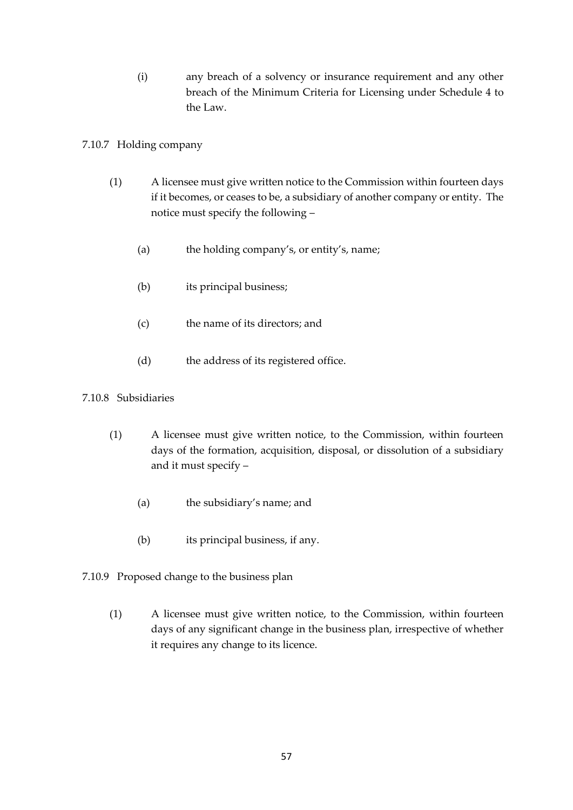(i) any breach of a solvency or insurance requirement and any other breach of the Minimum Criteria for Licensing under Schedule 4 to the Law.

# 7.10.7 Holding company

- (1) A licensee must give written notice to the Commission within fourteen days if it becomes, or ceases to be, a subsidiary of another company or entity. The notice must specify the following –
	- (a) the holding company's, or entity's, name;
	- (b) its principal business;
	- (c) the name of its directors; and
	- (d) the address of its registered office.

# 7.10.8 Subsidiaries

- (1) A licensee must give written notice, to the Commission, within fourteen days of the formation, acquisition, disposal, or dissolution of a subsidiary and it must specify –
	- (a) the subsidiary's name; and
	- (b) its principal business, if any.
- 7.10.9 Proposed change to the business plan
	- (1) A licensee must give written notice, to the Commission, within fourteen days of any significant change in the business plan, irrespective of whether it requires any change to its licence.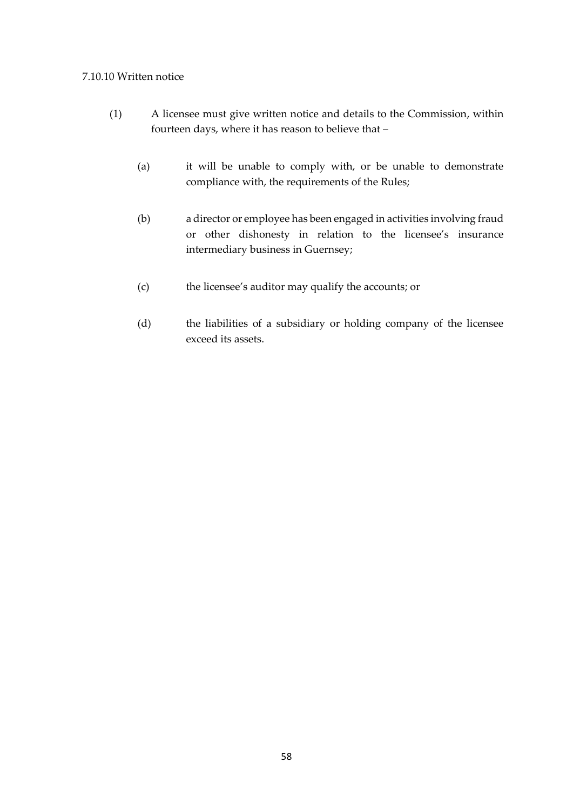#### 7.10.10 Written notice

- (1) A licensee must give written notice and details to the Commission, within fourteen days, where it has reason to believe that –
	- (a) it will be unable to comply with, or be unable to demonstrate compliance with, the requirements of the Rules;
	- (b) a director or employee has been engaged in activities involving fraud or other dishonesty in relation to the licensee's insurance intermediary business in Guernsey;
	- (c) the licensee's auditor may qualify the accounts; or
	- (d) the liabilities of a subsidiary or holding company of the licensee exceed its assets.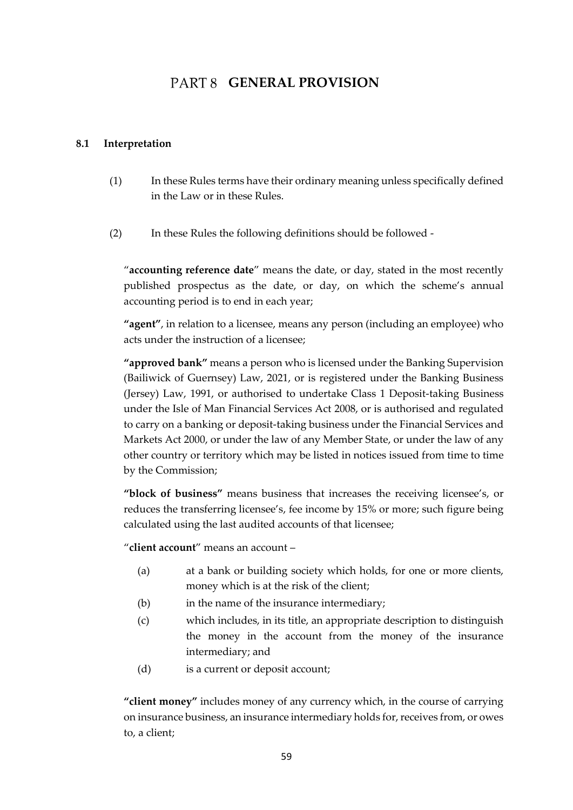# PART 8 **GENERAL PROVISION**

#### <span id="page-58-1"></span><span id="page-58-0"></span>**8.1 Interpretation**

- (1) In these Rules terms have their ordinary meaning unless specifically defined in the Law or in these Rules.
- (2) In these Rules the following definitions should be followed -

"**accounting reference date**" means the date, or day, stated in the most recently published prospectus as the date, or day, on which the scheme's annual accounting period is to end in each year;

**"agent"**, in relation to a licensee, means any person (including an employee) who acts under the instruction of a licensee;

**"approved bank"** means a person who is licensed under the Banking Supervision (Bailiwick of Guernsey) Law, 2021, or is registered under the Banking Business (Jersey) Law, 1991, or authorised to undertake Class 1 Deposit-taking Business under the Isle of Man Financial Services Act 2008, or is authorised and regulated to carry on a banking or deposit-taking business under the Financial Services and Markets Act 2000, or under the law of any Member State, or under the law of any other country or territory which may be listed in notices issued from time to time by the Commission;

**"block of business"** means business that increases the receiving licensee's, or reduces the transferring licensee's, fee income by 15% or more; such figure being calculated using the last audited accounts of that licensee;

"**client account**" means an account –

- (a) at a bank or building society which holds, for one or more clients, money which is at the risk of the client;
- (b) in the name of the insurance intermediary;
- (c) which includes, in its title, an appropriate description to distinguish the money in the account from the money of the insurance intermediary; and
- (d) is a current or deposit account;

**"client money"** includes money of any currency which, in the course of carrying on insurance business, an insurance intermediary holds for, receives from, or owes to, a client;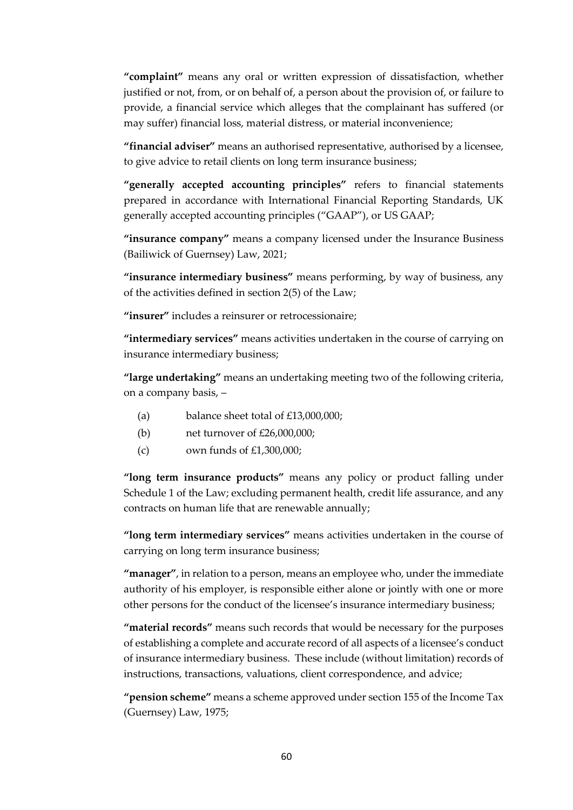**"complaint"** means any oral or written expression of dissatisfaction, whether justified or not, from, or on behalf of, a person about the provision of, or failure to provide, a financial service which alleges that the complainant has suffered (or may suffer) financial loss, material distress, or material inconvenience;

**"financial adviser"** means an authorised representative, authorised by a licensee, to give advice to retail clients on long term insurance business;

**"generally accepted accounting principles"** refers to financial statements prepared in accordance with International Financial Reporting Standards, UK generally accepted accounting principles ("GAAP"), or US GAAP;

**"insurance company"** means a company licensed under the Insurance Business (Bailiwick of Guernsey) Law, 2021;

**"insurance intermediary business"** means performing, by way of business, any of the activities defined in section 2(5) of the Law;

**"insurer"** includes a reinsurer or retrocessionaire;

**"intermediary services"** means activities undertaken in the course of carrying on insurance intermediary business;

**"large undertaking"** means an undertaking meeting two of the following criteria, on a company basis, –

- (a) balance sheet total of  $£13,000,000;$
- (b) net turnover of £26,000,000;
- (c) own funds of  $£1,300,000;$

**"long term insurance products"** means any policy or product falling under Schedule 1 of the Law; excluding permanent health, credit life assurance, and any contracts on human life that are renewable annually;

**"long term intermediary services"** means activities undertaken in the course of carrying on long term insurance business;

**"manager"**, in relation to a person, means an employee who, under the immediate authority of his employer, is responsible either alone or jointly with one or more other persons for the conduct of the licensee's insurance intermediary business;

**"material records"** means such records that would be necessary for the purposes of establishing a complete and accurate record of all aspects of a licensee's conduct of insurance intermediary business. These include (without limitation) records of instructions, transactions, valuations, client correspondence, and advice;

**"pension scheme"** means a scheme approved under section 155 of the Income Tax (Guernsey) Law, 1975;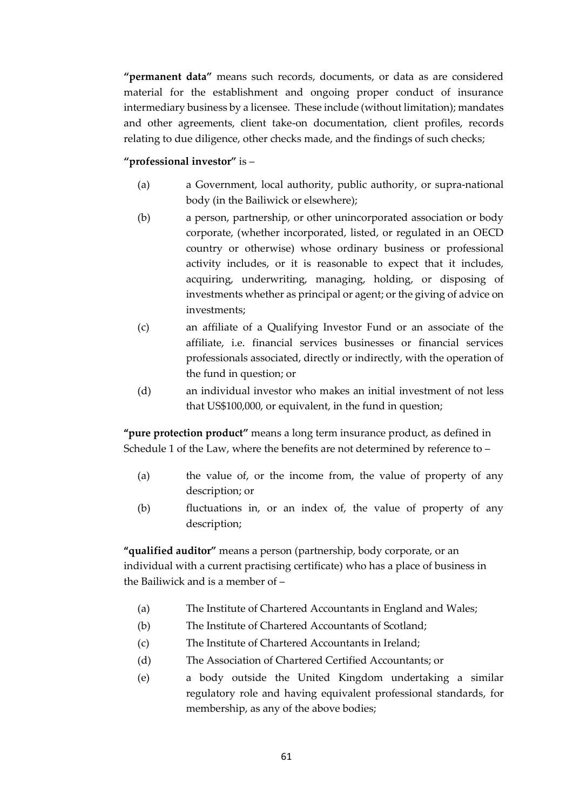**"permanent data"** means such records, documents, or data as are considered material for the establishment and ongoing proper conduct of insurance intermediary business by a licensee. These include (without limitation); mandates and other agreements, client take-on documentation, client profiles, records relating to due diligence, other checks made, and the findings of such checks;

# **"professional investor"** is –

- (a) a Government, local authority, public authority, or supra-national body (in the Bailiwick or elsewhere);
- (b) a person, partnership, or other unincorporated association or body corporate, (whether incorporated, listed, or regulated in an OECD country or otherwise) whose ordinary business or professional activity includes, or it is reasonable to expect that it includes, acquiring, underwriting, managing, holding, or disposing of investments whether as principal or agent; or the giving of advice on investments;
- (c) an affiliate of a Qualifying Investor Fund or an associate of the affiliate, i.e. financial services businesses or financial services professionals associated, directly or indirectly, with the operation of the fund in question; or
- (d) an individual investor who makes an initial investment of not less that US\$100,000, or equivalent, in the fund in question;

**"pure protection product"** means a long term insurance product, as defined in Schedule 1 of the Law, where the benefits are not determined by reference to –

- (a) the value of, or the income from, the value of property of any description; or
- (b) fluctuations in, or an index of, the value of property of any description;

**"qualified auditor"** means a person (partnership, body corporate, or an individual with a current practising certificate) who has a place of business in the Bailiwick and is a member of –

- (a) The Institute of Chartered Accountants in England and Wales;
- (b) The Institute of Chartered Accountants of Scotland;
- (c) The Institute of Chartered Accountants in Ireland;
- (d) The Association of Chartered Certified Accountants; or
- (e) a body outside the United Kingdom undertaking a similar regulatory role and having equivalent professional standards, for membership, as any of the above bodies;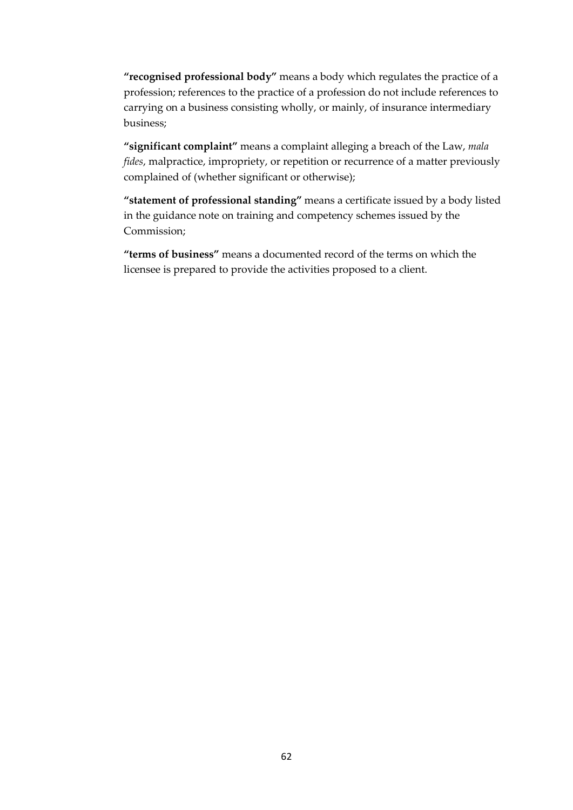**"recognised professional body"** means a body which regulates the practice of a profession; references to the practice of a profession do not include references to carrying on a business consisting wholly, or mainly, of insurance intermediary business;

**"significant complaint"** means a complaint alleging a breach of the Law, *mala fides*, malpractice, impropriety, or repetition or recurrence of a matter previously complained of (whether significant or otherwise);

**"statement of professional standing"** means a certificate issued by a body listed in the guidance note on training and competency schemes issued by the Commission;

**"terms of business"** means a documented record of the terms on which the licensee is prepared to provide the activities proposed to a client.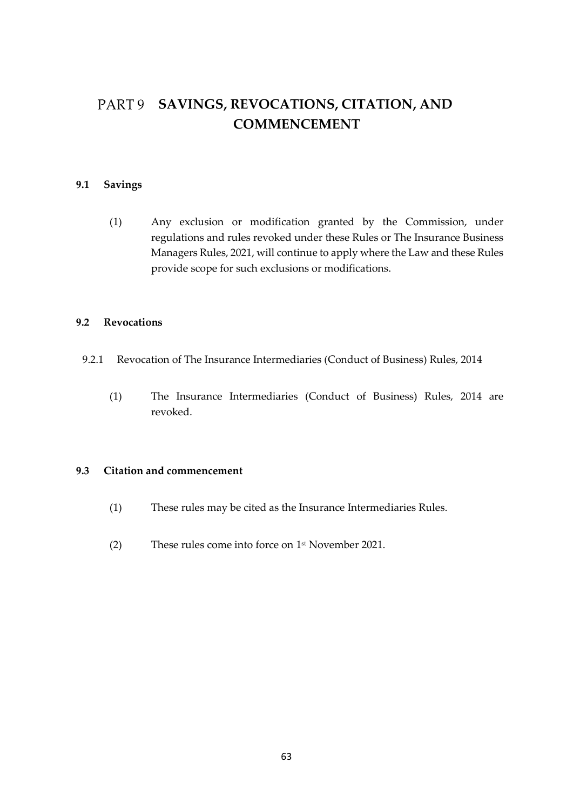# <span id="page-62-0"></span>**SAVINGS, REVOCATIONS, CITATION, AND COMMENCEMENT**

# <span id="page-62-1"></span>**9.1 Savings**

(1) Any exclusion or modification granted by the Commission, under regulations and rules revoked under these Rules or The Insurance Business Managers Rules, 2021, will continue to apply where the Law and these Rules provide scope for such exclusions or modifications.

#### <span id="page-62-2"></span>**9.2 Revocations**

- 9.2.1 Revocation of The Insurance Intermediaries (Conduct of Business) Rules, 2014
	- (1) The Insurance Intermediaries (Conduct of Business) Rules, 2014 are revoked.

#### <span id="page-62-3"></span>**9.3 Citation and commencement**

- (1) These rules may be cited as the Insurance Intermediaries Rules.
- (2) These rules come into force on 1 st November 2021.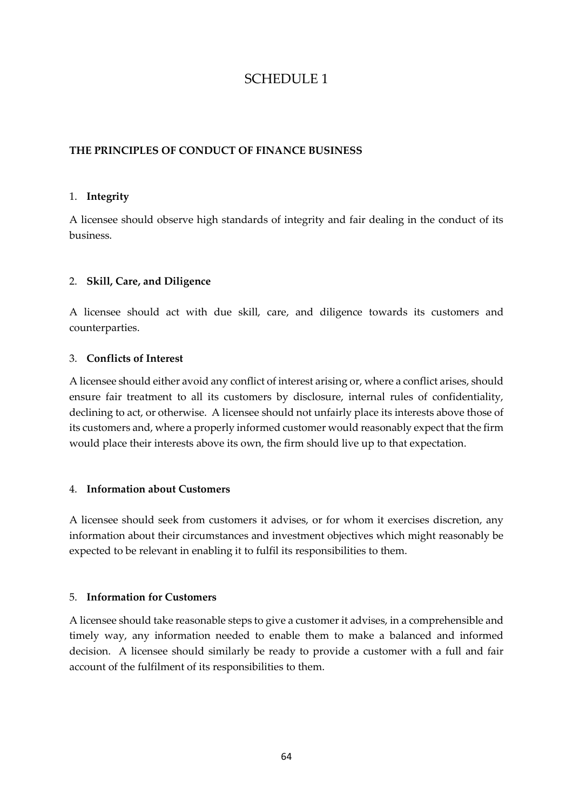# SCHEDULE 1

# **THE PRINCIPLES OF CONDUCT OF FINANCE BUSINESS**

#### 1. **Integrity**

A licensee should observe high standards of integrity and fair dealing in the conduct of its business.

#### 2. **Skill, Care, and Diligence**

A licensee should act with due skill, care, and diligence towards its customers and counterparties.

#### 3. **Conflicts of Interest**

A licensee should either avoid any conflict of interest arising or, where a conflict arises, should ensure fair treatment to all its customers by disclosure, internal rules of confidentiality, declining to act, or otherwise. A licensee should not unfairly place its interests above those of its customers and, where a properly informed customer would reasonably expect that the firm would place their interests above its own, the firm should live up to that expectation.

#### 4. **Information about Customers**

A licensee should seek from customers it advises, or for whom it exercises discretion, any information about their circumstances and investment objectives which might reasonably be expected to be relevant in enabling it to fulfil its responsibilities to them.

#### 5. **Information for Customers**

A licensee should take reasonable steps to give a customer it advises, in a comprehensible and timely way, any information needed to enable them to make a balanced and informed decision. A licensee should similarly be ready to provide a customer with a full and fair account of the fulfilment of its responsibilities to them.